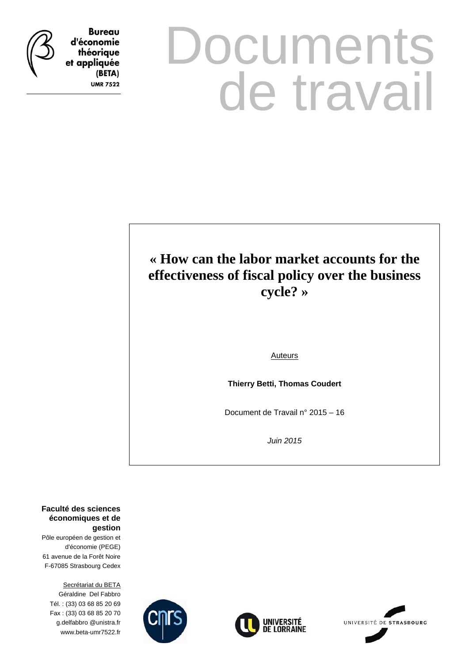

**Bureau** d'économie théorique et appliquée (BETA) **UMR 7522** 

# **Documents** de travail

# **« How can the labor market accounts for the effectiveness of fiscal policy over the business cycle? »**

Auteurs

**Thierry Betti, Thomas Coudert** 

Document de Travail n° 2015 – 16

*Juin 2015* 

## **Faculté des sciences économiques et de gestion**

Pôle européen de gestion et d'économie (PEGE) 61 avenue de la Forêt Noire F-67085 Strasbourg Cedex

Secrétariat du BETA Géraldine Del Fabbro Tél. : (33) 03 68 85 20 69 Fax : (33) 03 68 85 20 70 g.delfabbro @unistra.fr www.beta-umr7522.fr





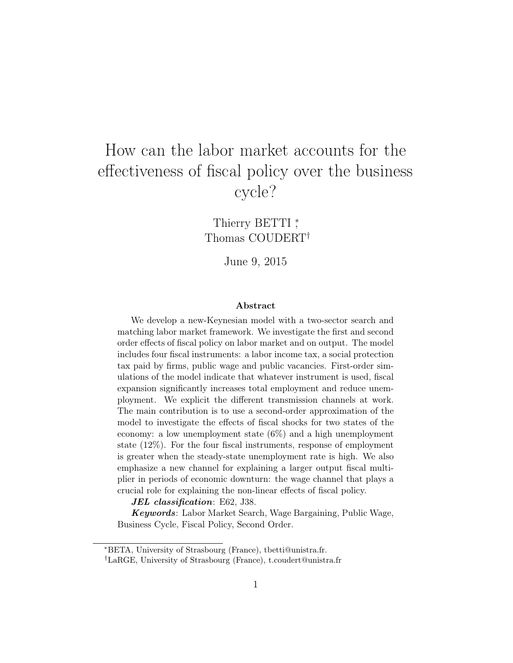# How can the labor market accounts for the effectiveness of fiscal policy over the business cycle?

Thierry BETTI<sup>\*</sup>, Thomas COUDERT†

June 9, 2015

#### Abstract

We develop a new-Keynesian model with a two-sector search and matching labor market framework. We investigate the first and second order effects of fiscal policy on labor market and on output. The model includes four fiscal instruments: a labor income tax, a social protection tax paid by firms, public wage and public vacancies. First-order simulations of the model indicate that whatever instrument is used, fiscal expansion significantly increases total employment and reduce unemployment. We explicit the different transmission channels at work. The main contribution is to use a second-order approximation of the model to investigate the effects of fiscal shocks for two states of the economy: a low unemployment state (6%) and a high unemployment state (12%). For the four fiscal instruments, response of employment is greater when the steady-state unemployment rate is high. We also emphasize a new channel for explaining a larger output fiscal multiplier in periods of economic downturn: the wage channel that plays a crucial role for explaining the non-linear effects of fiscal policy.

JEL classification: E62, J38.

Keywords: Labor Market Search, Wage Bargaining, Public Wage, Business Cycle, Fiscal Policy, Second Order.

<sup>∗</sup>BETA, University of Strasbourg (France), tbetti@unistra.fr.

<sup>†</sup>LaRGE, University of Strasbourg (France), t.coudert@unistra.fr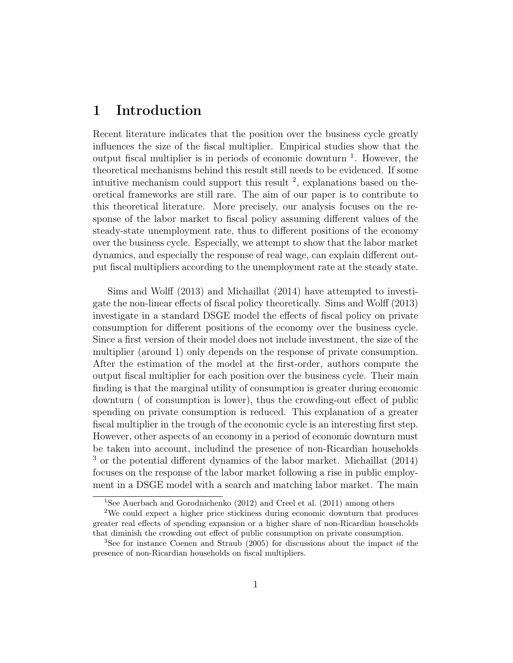# 1 Introduction

Recent literature indicates that the position over the business cycle greatly influences the size of the fiscal multiplier. Empirical studies show that the output fiscal multiplier is in periods of economic downturn  $<sup>1</sup>$ . However, the</sup> theoretical mechanisms behind this result still needs to be evidenced. If some intuitive mechanism could support this result  $^2$ , explanations based on theoretical frameworks are still rare. The aim of our paper is to contribute to this theoretical literature. More precisely, our analysis focuses on the response of the labor market to fiscal policy assuming different values of the steady-state unemployment rate, thus to different positions of the economy over the business cycle. Especially, we attempt to show that the labor market dynamics, and especially the response of real wage, can explain different output fiscal multipliers according to the unemployment rate at the steady state.

Sims and Wolff (2013) and Michaillat (2014) have attempted to investigate the non-linear effects of fiscal policy theoretically. Sims and Wolff (2013) investigate in a standard DSGE model the effects of fiscal policy on private consumption for different positions of the economy over the business cycle. Since a first version of their model does not include investment, the size of the multiplier (around 1) only depends on the response of private consumption. After the estimation of the model at the first-order, authors compute the output fiscal multiplier for each position over the business cycle. Their main finding is that the marginal utility of consumption is greater during economic downturn ( of consumption is lower), thus the crowding-out effect of public spending on private consumption is reduced. This explanation of a greater fiscal multiplier in the trough of the economic cycle is an interesting first step. However, other aspects of an economy in a period of economic downturn must be taken into account, includind the presence of non-Ricardian households <sup>3</sup> or the potential different dynamics of the labor market. Michaillat (2014) focuses on the response of the labor market following a rise in public employment in a DSGE model with a search and matching labor market. The main

<sup>&</sup>lt;sup>1</sup>See Auerbach and Gorodnichenko  $(2012)$  and Creel et al.  $(2011)$  among others

<sup>2</sup>We could expect a higher price stickiness during economic downturn that produces greater real effects of spending expansion or a higher share of non-Ricardian households that diminish the crowding out effect of public consumption on private consumption.

<sup>3</sup>See for instance Coenen and Straub (2005) for discussions about the impact of the presence of non-Ricardian households on fiscal multipliers.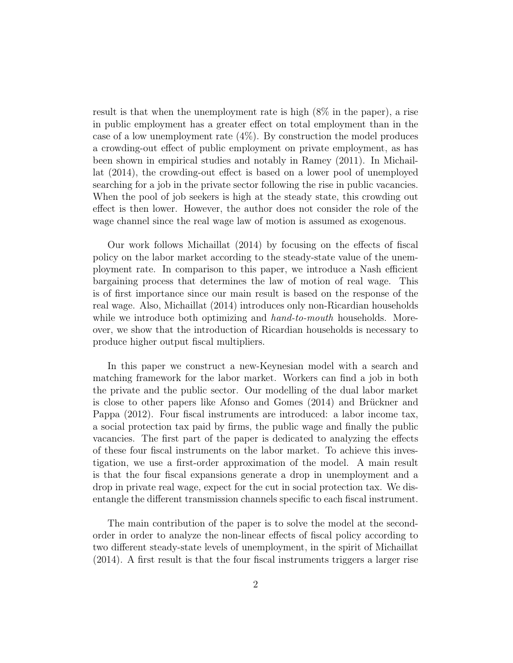result is that when the unemployment rate is high (8% in the paper), a rise in public employment has a greater effect on total employment than in the case of a low unemployment rate (4%). By construction the model produces a crowding-out effect of public employment on private employment, as has been shown in empirical studies and notably in Ramey (2011). In Michaillat (2014), the crowding-out effect is based on a lower pool of unemployed searching for a job in the private sector following the rise in public vacancies. When the pool of job seekers is high at the steady state, this crowding out effect is then lower. However, the author does not consider the role of the wage channel since the real wage law of motion is assumed as exogenous.

Our work follows Michaillat (2014) by focusing on the effects of fiscal policy on the labor market according to the steady-state value of the unemployment rate. In comparison to this paper, we introduce a Nash efficient bargaining process that determines the law of motion of real wage. This is of first importance since our main result is based on the response of the real wage. Also, Michaillat (2014) introduces only non-Ricardian households while we introduce both optimizing and *hand-to-mouth* households. Moreover, we show that the introduction of Ricardian households is necessary to produce higher output fiscal multipliers.

In this paper we construct a new-Keynesian model with a search and matching framework for the labor market. Workers can find a job in both the private and the public sector. Our modelling of the dual labor market is close to other papers like Afonso and Gomes (2014) and Brückner and Pappa (2012). Four fiscal instruments are introduced: a labor income tax, a social protection tax paid by firms, the public wage and finally the public vacancies. The first part of the paper is dedicated to analyzing the effects of these four fiscal instruments on the labor market. To achieve this investigation, we use a first-order approximation of the model. A main result is that the four fiscal expansions generate a drop in unemployment and a drop in private real wage, expect for the cut in social protection tax. We disentangle the different transmission channels specific to each fiscal instrument.

The main contribution of the paper is to solve the model at the secondorder in order to analyze the non-linear effects of fiscal policy according to two different steady-state levels of unemployment, in the spirit of Michaillat (2014). A first result is that the four fiscal instruments triggers a larger rise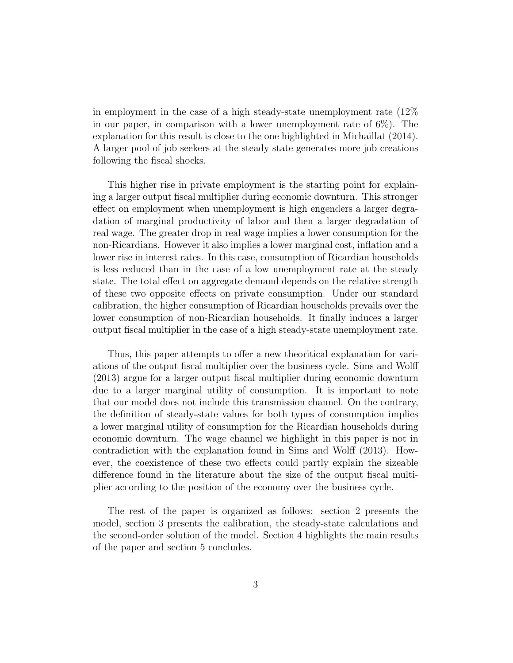in employment in the case of a high steady-state unemployment rate  $(12\%$ in our paper, in comparison with a lower unemployment rate of 6%). The explanation for this result is close to the one highlighted in Michaillat (2014). A larger pool of job seekers at the steady state generates more job creations following the fiscal shocks.

This higher rise in private employment is the starting point for explaining a larger output fiscal multiplier during economic downturn. This stronger effect on employment when unemployment is high engenders a larger degradation of marginal productivity of labor and then a larger degradation of real wage. The greater drop in real wage implies a lower consumption for the non-Ricardians. However it also implies a lower marginal cost, inflation and a lower rise in interest rates. In this case, consumption of Ricardian households is less reduced than in the case of a low unemployment rate at the steady state. The total effect on aggregate demand depends on the relative strength of these two opposite effects on private consumption. Under our standard calibration, the higher consumption of Ricardian households prevails over the lower consumption of non-Ricardian households. It finally induces a larger output fiscal multiplier in the case of a high steady-state unemployment rate.

Thus, this paper attempts to offer a new theoritical explanation for variations of the output fiscal multiplier over the business cycle. Sims and Wolff (2013) argue for a larger output fiscal multiplier during economic downturn due to a larger marginal utility of consumption. It is important to note that our model does not include this transmission channel. On the contrary, the definition of steady-state values for both types of consumption implies a lower marginal utility of consumption for the Ricardian households during economic downturn. The wage channel we highlight in this paper is not in contradiction with the explanation found in Sims and Wolff (2013). However, the coexistence of these two effects could partly explain the sizeable difference found in the literature about the size of the output fiscal multiplier according to the position of the economy over the business cycle.

The rest of the paper is organized as follows: section 2 presents the model, section 3 presents the calibration, the steady-state calculations and the second-order solution of the model. Section 4 highlights the main results of the paper and section 5 concludes.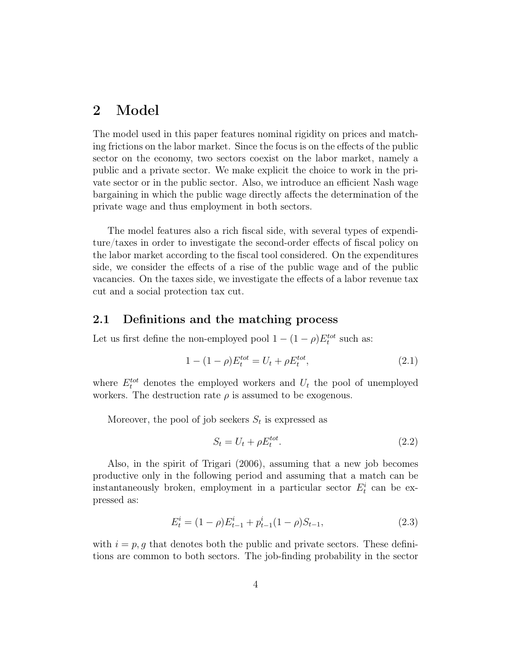# 2 Model

The model used in this paper features nominal rigidity on prices and matching frictions on the labor market. Since the focus is on the effects of the public sector on the economy, two sectors coexist on the labor market, namely a public and a private sector. We make explicit the choice to work in the private sector or in the public sector. Also, we introduce an efficient Nash wage bargaining in which the public wage directly affects the determination of the private wage and thus employment in both sectors.

The model features also a rich fiscal side, with several types of expenditure/taxes in order to investigate the second-order effects of fiscal policy on the labor market according to the fiscal tool considered. On the expenditures side, we consider the effects of a rise of the public wage and of the public vacancies. On the taxes side, we investigate the effects of a labor revenue tax cut and a social protection tax cut.

# 2.1 Definitions and the matching process

Let us first define the non-employed pool  $1 - (1 - \rho)E_t^{tot}$  such as:

$$
1 - (1 - \rho)E_t^{tot} = U_t + \rho E_t^{tot}, \qquad (2.1)
$$

where  $E_t^{tot}$  denotes the employed workers and  $U_t$  the pool of unemployed workers. The destruction rate  $\rho$  is assumed to be exogenous.

Moreover, the pool of job seekers  $S_t$  is expressed as

$$
S_t = U_t + \rho E_t^{tot}.\tag{2.2}
$$

Also, in the spirit of Trigari (2006), assuming that a new job becomes productive only in the following period and assuming that a match can be instantaneously broken, employment in a particular sector  $E_t^i$  can be expressed as:

$$
E_t^i = (1 - \rho)E_{t-1}^i + p_{t-1}^i (1 - \rho)S_{t-1},
$$
\n(2.3)

with  $i = p, g$  that denotes both the public and private sectors. These definitions are common to both sectors. The job-finding probability in the sector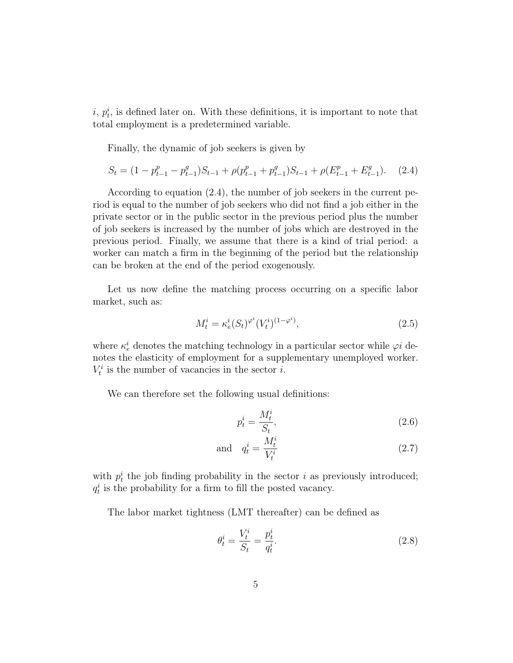$i, p_t^i$ , is defined later on. With these definitions, it is important to note that total employment is a predetermined variable.

Finally, the dynamic of job seekers is given by

$$
S_t = (1 - p_{t-1}^p - p_{t-1}^g)S_{t-1} + \rho(p_{t-1}^p + p_{t-1}^g)S_{t-1} + \rho(E_{t-1}^p + E_{t-1}^g). \tag{2.4}
$$

According to equation (2.4), the number of job seekers in the current period is equal to the number of job seekers who did not find a job either in the private sector or in the public sector in the previous period plus the number of job seekers is increased by the number of jobs which are destroyed in the previous period. Finally, we assume that there is a kind of trial period: a worker can match a firm in the beginning of the period but the relationship can be broken at the end of the period exogenously.

Let us now define the matching process occurring on a specific labor market, such as:

$$
M_t^i = \kappa_e^i (S_t)^{\varphi^i} (V_t^i)^{(1-\varphi^i)}, \tag{2.5}
$$

where  $\kappa_e^i$  denotes the matching technology in a particular sector while  $\varphi_i$  denotes the elasticity of employment for a supplementary unemployed worker.  $V_t^i$  is the number of vacancies in the sector *i*.

We can therefore set the following usual definitions:

$$
p_t^i = \frac{M_t^i}{S_t},\tag{2.6}
$$

and 
$$
q_t^i = \frac{M_t^i}{V_t^i}
$$
 (2.7)

with  $p_t^i$  the job finding probability in the sector i as previously introduced;  $q_t^i$  is the probability for a firm to fill the posted vacancy.

The labor market tightness (LMT thereafter) can be defined as

$$
\theta_t^i = \frac{V_t^i}{S_t} = \frac{p_t^i}{q_t^i}.\tag{2.8}
$$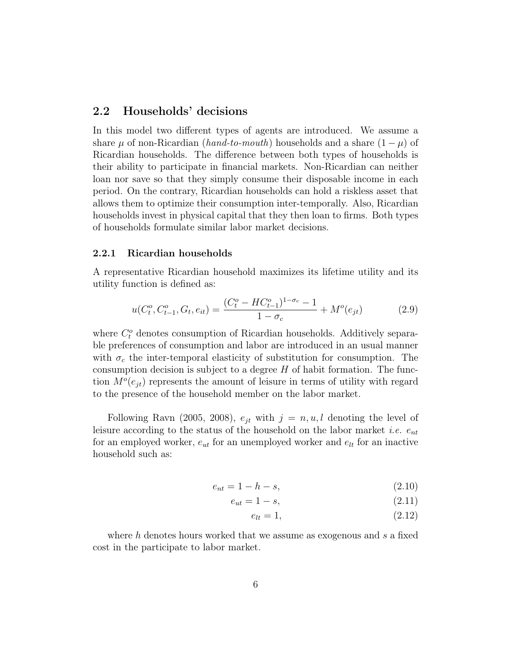# 2.2 Households' decisions

In this model two different types of agents are introduced. We assume a share  $\mu$  of non-Ricardian (hand-to-mouth) households and a share  $(1 - \mu)$  of Ricardian households. The difference between both types of households is their ability to participate in financial markets. Non-Ricardian can neither loan nor save so that they simply consume their disposable income in each period. On the contrary, Ricardian households can hold a riskless asset that allows them to optimize their consumption inter-temporally. Also, Ricardian households invest in physical capital that they then loan to firms. Both types of households formulate similar labor market decisions.

## 2.2.1 Ricardian households

A representative Ricardian household maximizes its lifetime utility and its utility function is defined as:

$$
u(C_t^o, C_{t-1}^o, G_t, e_{it}) = \frac{(C_t^o - HC_{t-1}^o)^{1-\sigma_c} - 1}{1 - \sigma_c} + M^o(e_{jt})
$$
(2.9)

where  $C_t^o$  denotes consumption of Ricardian households. Additively separable preferences of consumption and labor are introduced in an usual manner with  $\sigma_c$  the inter-temporal elasticity of substitution for consumption. The consumption decision is subject to a degree  $H$  of habit formation. The function  $M^o(e_{jt})$  represents the amount of leisure in terms of utility with regard to the presence of the household member on the labor market.

Following Ravn (2005, 2008),  $e_{it}$  with  $j = n, u, l$  denoting the level of leisure according to the status of the household on the labor market *i.e.*  $e_{nt}$ for an employed worker,  $e_{ut}$  for an unemployed worker and  $e_{lt}$  for an inactive household such as:

$$
e_{nt} = 1 - h - s,\t\t(2.10)
$$

$$
e_{ut} = 1 - s,\t\t(2.11)
$$

$$
e_{lt} = 1,\tag{2.12}
$$

where h denotes hours worked that we assume as exogenous and s a fixed cost in the participate to labor market.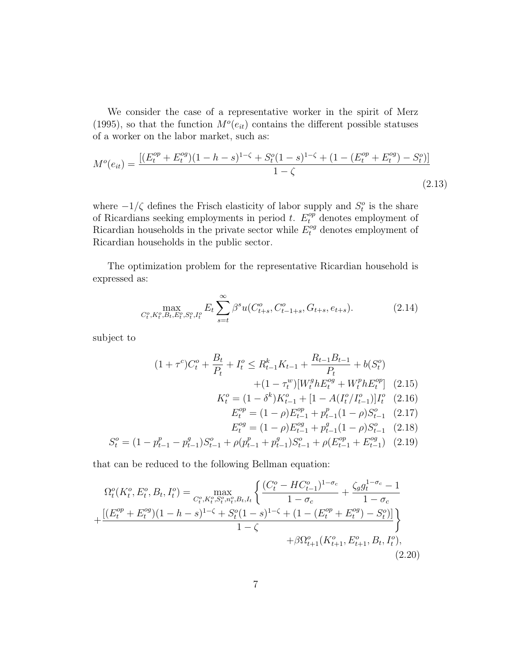We consider the case of a representative worker in the spirit of Merz (1995), so that the function  $M^o(e_{it})$  contains the different possible statuses of a worker on the labor market, such as:

$$
M^{o}(e_{it}) = \frac{\left[ (E_t^{op} + E_t^{og})(1 - h - s)^{1 - \zeta} + S_t^{o}(1 - s)^{1 - \zeta} + (1 - (E_t^{op} + E_t^{og}) - S_t^{o}) \right]}{1 - \zeta}
$$
\n(2.13)

where  $-1/\zeta$  defines the Frisch elasticity of labor supply and  $S_t^o$  is the share of Ricardians seeking employments in period t.  $E_t^{op}$  denotes employment of Ricardian households in the private sector while  $E_t^{og}$  denotes employment of Ricardian households in the public sector.

The optimization problem for the representative Ricardian household is expressed as:

$$
\max_{C_t^o, K_t^o, B_t, E_t^o, S_t^o, I_t^o} E_t \sum_{s=t}^{\infty} \beta^s u(C_{t+s}^o, C_{t-1+s}^o, G_{t+s}, e_{t+s}).
$$
\n(2.14)

subject to

$$
(1+\tau^c)C_t^o + \frac{B_t}{P_t} + I_t^o \le R_{t-1}^k K_{t-1} + \frac{R_{t-1}B_{t-1}}{P_t} + b(S_t^o)
$$

$$
+ (1-\tau_t^w)[W_t^g h E_t^{og} + W_t^p h E_t^{op}] \quad (2.15)
$$

$$
K_t^o = (1-\delta^k)K_{t-1}^o + [1-A(I_t^o/I_{t-1}^o)]I_t^o \quad (2.16)
$$

$$
E_t^{op} = (1-\rho)E_{t-1}^{op} + p_{t-1}^p(1-\rho)S_{t-1}^o \quad (2.17)
$$

$$
E_t^{og} = (1-\rho)E_{t-1}^{og} + p_{t-1}^g(1-\rho)S_{t-1}^o \quad (2.18)
$$

$$
S_t^o = (1-p_{t-1}^p - p_{t-1}^g)S_{t-1}^o + \rho(p_{t-1}^p + p_{t-1}^g)S_{t-1}^o + \rho(E_{t-1}^{op} + E_{t-1}^{og}) \quad (2.19)
$$

that can be reduced to the following Bellman equation:

$$
\Omega_t^o(K_t^o, E_t^o, B_t, I_t^o) = \max_{C_t^o, K_t^o, S_t^o, n_t^o, B_t, I_t} \left\{ \frac{(C_t^o - HC_{t-1}^o)^{1-\sigma_c}}{1-\sigma_c} + \frac{\zeta_g g_t^{1-\sigma_c} - 1}{1-\sigma_c} + \frac{[(E_t^{op} + E_t^{og})(1-h-s)^{1-\zeta} + S_t^o(1-s)^{1-\zeta} + (1 - (E_t^{op} + E_t^{og}) - S_t^o)]}{1-\zeta} \right\}
$$
  
+ 
$$
\beta \Omega_{t+1}^o(K_{t+1}^o, E_{t+1}^o, B_t, I_t^o),
$$
\n(2.20)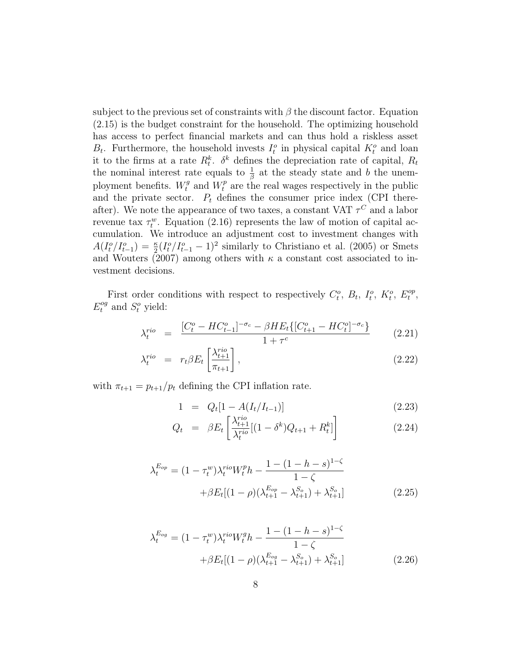subject to the previous set of constraints with  $\beta$  the discount factor. Equation (2.15) is the budget constraint for the household. The optimizing household has access to perfect financial markets and can thus hold a riskless asset  $B_t$ . Furthermore, the household invests  $I_t^o$  in physical capital  $K_t^o$  and loan it to the firms at a rate  $R_t^k$ .  $\delta^k$  defines the depreciation rate of capital,  $R_t$ the nominal interest rate equals to  $\frac{1}{\beta}$  at the steady state and b the unemployment benefits.  $W_t^g$  and  $W_t^p$  are the real wages respectively in the public and the private sector.  $P_t$  defines the consumer price index (CPI thereafter). We note the appearance of two taxes, a constant VAT  $\tau^C$  and a labor revenue tax  $\tau_t^w$ . Equation (2.16) represents the law of motion of capital accumulation. We introduce an adjustment cost to investment changes with  $A(I_t^o/I_{t-1}^o) = \frac{\kappa}{2}(I_t^o/I_{t-1}^o - 1)^2$  similarly to Christiano et al. (2005) or Smets and Wouters (2007) among others with  $\kappa$  a constant cost associated to investment decisions.

First order conditions with respect to respectively  $C_t^o$ ,  $B_t$ ,  $I_t^o$ ,  $K_t^o$ ,  $E_t^{op}$  $_t^{op},$  $E_t^{og}$  and  $S_t^o$  yield:

$$
\lambda_t^{rio} = \frac{[C_t^o - HC_{t-1}^o]^{-\sigma_c} - \beta HE_t \{ [C_{t+1}^o - HC_t^o]^{-\sigma_c} \}}{1 + \tau^c}
$$
(2.21)

$$
\lambda_t^{rio} = r_t \beta E_t \left[ \frac{\lambda_{t+1}^{rio}}{\pi_{t+1}} \right], \tag{2.22}
$$

with  $\pi_{t+1} = p_{t+1}/p_t$  defining the CPI inflation rate.

$$
1 = Q_t[1 - A(I_t/I_{t-1})]
$$
\n(2.23)

$$
Q_t = \beta E_t \left[ \frac{\lambda_{t+1}^{rio}}{\lambda_t^{rio}} [(1 - \delta^k) Q_{t+1} + R_t^k] \right]
$$
 (2.24)

$$
\lambda_t^{E_{op}} = (1 - \tau_t^w) \lambda_t^{rio} W_t^p h - \frac{1 - (1 - h - s)^{1 - \zeta}}{1 - \zeta} + \beta E_t [(1 - \rho) (\lambda_{t+1}^{E_{op}} - \lambda_{t+1}^{S_o}) + \lambda_{t+1}^{S_o}]
$$
(2.25)

$$
\lambda_t^{E_{og}} = (1 - \tau_t^w) \lambda_t^{rio} W_t^g h - \frac{1 - (1 - h - s)^{1 - \zeta}}{1 - \zeta} + \beta E_t [(1 - \rho) (\lambda_{t+1}^{E_{og}} - \lambda_{t+1}^{S_o}) + \lambda_{t+1}^{S_o}]
$$
(2.26)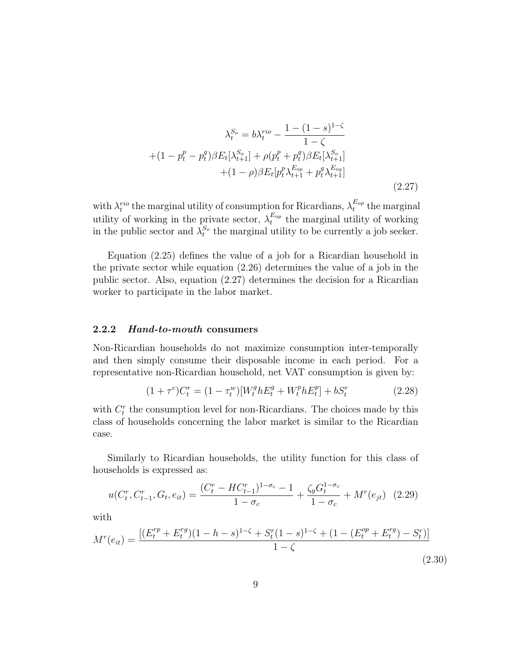$$
\lambda_t^{S_o} = b\lambda_t^{rio} - \frac{1 - (1 - s)^{1 - \zeta}}{1 - \zeta}
$$

$$
+ (1 - p_t^p - p_t^q)\beta E_t[\lambda_{t+1}^{S_o}] + \rho(p_t^p + p_t^q)\beta E_t[\lambda_{t+1}^{S_o}]
$$

$$
+ (1 - \rho)\beta E_t[p_t^p \lambda_{t+1}^{E_{op}} + p_t^q \lambda_{t+1}^{E_{og}}]
$$
(2.27)

with  $\lambda_t^{rio}$  the marginal utility of consumption for Ricardians,  $\lambda_t^{E_{op}}$  $t^{L_{op}}$  the marginal utility of working in the private sector,  $\lambda_t^{E_{op}}$  $t^{L_{op}}$  the marginal utility of working in the public sector and  $\lambda_t^{S_o}$  the marginal utility to be currently a job seeker.

Equation (2.25) defines the value of a job for a Ricardian household in the private sector while equation (2.26) determines the value of a job in the public sector. Also, equation (2.27) determines the decision for a Ricardian worker to participate in the labor market.

#### 2.2.2 Hand-to-mouth consumers

Non-Ricardian households do not maximize consumption inter-temporally and then simply consume their disposable income in each period. For a representative non-Ricardian household, net VAT consumption is given by:

$$
(1 + \tau^c)C_t^r = (1 - \tau_t^w)[W_t^g h E_t^g + W_t^p h E_t^p] + bS_t^r
$$
\n(2.28)

with  $C_t^r$  the consumption level for non-Ricardians. The choices made by this class of households concerning the labor market is similar to the Ricardian case.

Similarly to Ricardian households, the utility function for this class of households is expressed as:

$$
u(C_t^r, C_{t-1}^r, G_t, e_{it}) = \frac{(C_t^r - HC_{t-1}^r)^{1-\sigma_c} - 1}{1-\sigma_c} + \frac{\zeta_g G_t^{1-\sigma_c}}{1-\sigma_c} + M^r(e_{jt}) \tag{2.29}
$$

with

$$
M^{r}(e_{it}) = \frac{\left[ (E_t^{rp} + E_t^{rg})(1 - h - s)^{1 - \zeta} + S_t^{r}(1 - s)^{1 - \zeta} + (1 - (E_t^{op} + E_t^{rg}) - S_t^{r}) \right]}{1 - \zeta}
$$
\n(2.30)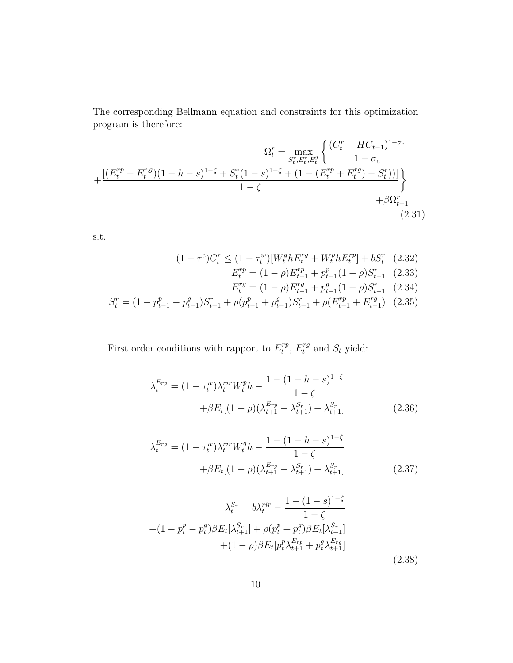The corresponding Bellmann equation and constraints for this optimization program is therefore:

$$
\Omega_t^r = \max_{S_t^r, E_t^r, E_t^g} \left\{ \frac{(C_t^r - HC_{t-1})^{1-\sigma_c}}{1-\sigma_c} + \frac{[(E_t^{rp} + E_t^{r,g})(1-h-s)^{1-\zeta} + S_t^r(1-s)^{1-\zeta} + (1 - (E_t^{rp} + E_t^{r,g}) - S_t^r))]}{1-\zeta} \right\}
$$
  
+  $\beta \Omega_{t+1}^r$  (2.31)

s.t.

$$
(1 + \tau^c)C_t^r \le (1 - \tau_t^w)[W_t^g h E_t^{rg} + W_t^p h E_t^{rp}] + bS_t^r \quad (2.32)
$$

$$
E_t^{rp} = (1 - \rho)E_{t-1}^{rp} + p_{t-1}^p (1 - \rho)S_{t-1}^r \quad (2.33)
$$

$$
E_t^{rg} = (1 - \rho)E_{t-1}^{rg} + p_{t-1}^g (1 - \rho)S_{t-1}^r \quad (2.34)
$$

$$
S_t^r = (1 - p_{t-1}^p - p_{t-1}^g)S_{t-1}^r + \rho(p_{t-1}^p + p_{t-1}^g)S_{t-1}^r + \rho(E_{t-1}^{rp} + E_{t-1}^{rg}) \quad (2.35)
$$

First order conditions with rapport to  $E_t^{rp}$  $t^{rp}$ ,  $E_t^{rg}$  and  $S_t$  yield:

$$
\lambda_t^{E_{rp}} = (1 - \tau_t^w) \lambda_t^{vir} W_t^p h - \frac{1 - (1 - h - s)^{1 - \zeta}}{1 - \zeta} + \beta E_t [(1 - \rho) (\lambda_{t+1}^{E_{rp}} - \lambda_{t+1}^{S_r}) + \lambda_{t+1}^{S_r}]
$$
(2.36)

$$
\lambda_t^{E_{rg}} = (1 - \tau_t^w) \lambda_t^{rir} W_t^g h - \frac{1 - (1 - h - s)^{1 - \zeta}}{1 - \zeta} + \beta E_t [(1 - \rho) (\lambda_{t+1}^{E_{rg}} - \lambda_{t+1}^{S_r}) + \lambda_{t+1}^{S_r}]
$$
(2.37)

$$
\lambda_t^{S_r} = b\lambda_t^{rir} - \frac{1 - (1 - s)^{1 - \zeta}}{1 - \zeta}
$$

$$
+ (1 - p_t^p - p_t^q)\beta E_t[\lambda_{t+1}^{S_r}] + \rho(p_t^p + p_t^q)\beta E_t[\lambda_{t+1}^{S_r}]
$$

$$
+ (1 - \rho)\beta E_t[p_t^p \lambda_{t+1}^{E_{rp}} + p_t^q \lambda_{t+1}^{E_{rg}}]
$$

(2.38)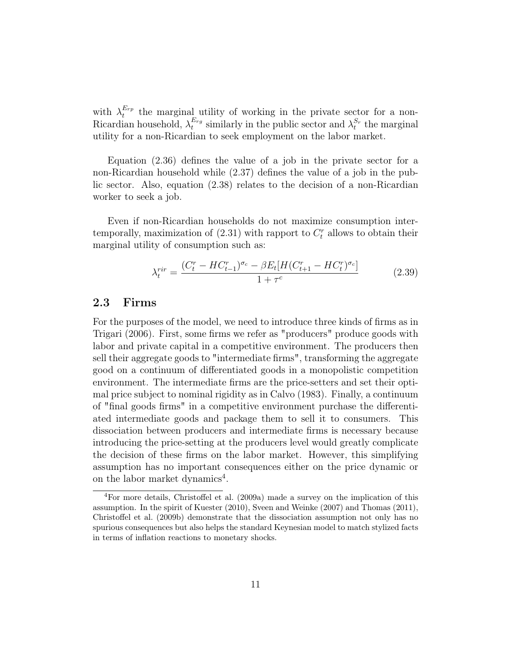with  $\lambda_t^{E_{rp}}$  $t_t^{E_{rp}}$  the marginal utility of working in the private sector for a non-Ricardian household,  $\lambda_t^{E_{rg}}$  $t^{E_{rg}}$  similarly in the public sector and  $\lambda_t^{S_r}$  the marginal utility for a non-Ricardian to seek employment on the labor market.

Equation (2.36) defines the value of a job in the private sector for a non-Ricardian household while (2.37) defines the value of a job in the public sector. Also, equation (2.38) relates to the decision of a non-Ricardian worker to seek a job.

Even if non-Ricardian households do not maximize consumption intertemporally, maximization of  $(2.31)$  with rapport to  $C_t^r$  allows to obtain their marginal utility of consumption such as:

$$
\lambda_t^{rir} = \frac{(C_t^r - HC_{t-1}^r)^{\sigma_c} - \beta E_t [H(C_{t+1}^r - HC_t^r)^{\sigma_c}]}{1 + \tau^c}
$$
(2.39)

# 2.3 Firms

For the purposes of the model, we need to introduce three kinds of firms as in Trigari (2006). First, some firms we refer as "producers" produce goods with labor and private capital in a competitive environment. The producers then sell their aggregate goods to "intermediate firms", transforming the aggregate good on a continuum of differentiated goods in a monopolistic competition environment. The intermediate firms are the price-setters and set their optimal price subject to nominal rigidity as in Calvo (1983). Finally, a continuum of "final goods firms" in a competitive environment purchase the differentiated intermediate goods and package them to sell it to consumers. This dissociation between producers and intermediate firms is necessary because introducing the price-setting at the producers level would greatly complicate the decision of these firms on the labor market. However, this simplifying assumption has no important consequences either on the price dynamic or on the labor market dynamics<sup>4</sup>.

<sup>4</sup>For more details, Christoffel et al. (2009a) made a survey on the implication of this assumption. In the spirit of Kuester (2010), Sveen and Weinke (2007) and Thomas (2011), Christoffel et al. (2009b) demonstrate that the dissociation assumption not only has no spurious consequences but also helps the standard Keynesian model to match stylized facts in terms of inflation reactions to monetary shocks.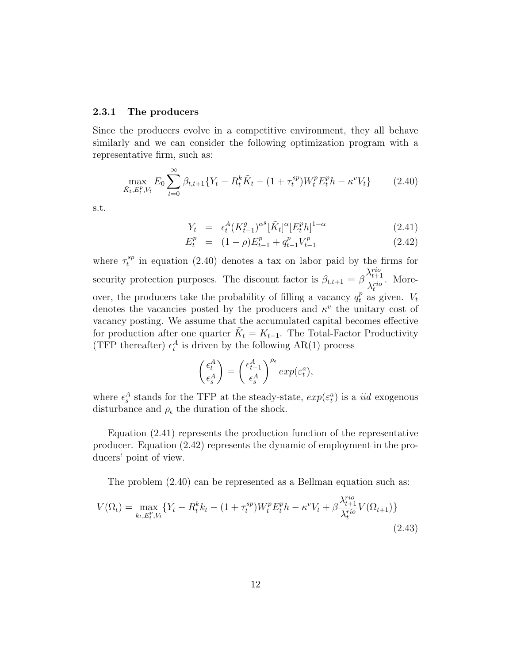#### 2.3.1 The producers

Since the producers evolve in a competitive environment, they all behave similarly and we can consider the following optimization program with a representative firm, such as:

$$
\max_{\tilde{K}_t, E_t^p, V_t} E_0 \sum_{t=0}^{\infty} \beta_{t,t+1} \{ Y_t - R_t^k \tilde{K}_t - (1 + \tau_t^{sp}) W_t^p E_t^p h - \kappa^v V_t \} \tag{2.40}
$$

s.t.

$$
Y_t = \epsilon_t^A (K_{t-1}^g)^{\alpha^g} [\tilde{K}_t]^{\alpha} [E_t^p h]^{1-\alpha}
$$
 (2.41)

$$
E_t^p = (1 - \rho)E_{t-1}^p + q_{t-1}^p V_{t-1}^p \tag{2.42}
$$

where  $\tau_t^{sp}$  $t_t^{sp}$  in equation (2.40) denotes a tax on labor paid by the firms for security protection purposes. The discount factor is  $\beta_{t,t+1} = \beta$  $\lambda_{t+1}^{rio}$  $\frac{\gamma_{t+1}}{\lambda_t^{rio}}$ . Moreover, the producers take the probability of filling a vacancy  $q_t^p$  as given.  $V_t$ denotes the vacancies posted by the producers and  $\kappa^v$  the unitary cost of vacancy posting. We assume that the accumulated capital becomes effective for production after one quarter  $\tilde{K}_t = K_{t-1}$ . The Total-Factor Productivity (TFP thereafter)  $\epsilon_t^A$  is driven by the following AR(1) process

$$
\left(\frac{\epsilon_t^A}{\epsilon_s^A}\right)=\left(\frac{\epsilon_{t-1}^A}{\epsilon_s^A}\right)^{\rho_\epsilon} \exp(\varepsilon_t^a),
$$

where  $\epsilon_s^A$  stands for the TFP at the steady-state,  $exp(\epsilon_t^a)$  is a *iid* exogenous disturbance and  $\rho_{\epsilon}$  the duration of the shock.

Equation (2.41) represents the production function of the representative producer. Equation (2.42) represents the dynamic of employment in the producers' point of view.

The problem (2.40) can be represented as a Bellman equation such as:

$$
V(\Omega_t) = \max_{k_t, E_t^p, V_t} \{ Y_t - R_t^k k_t - (1 + \tau_t^{sp}) W_t^p E_t^p h - \kappa^v V_t + \beta \frac{\lambda_{t+1}^{rio}}{\lambda_t^{rio}} V(\Omega_{t+1}) \}
$$
(2.43)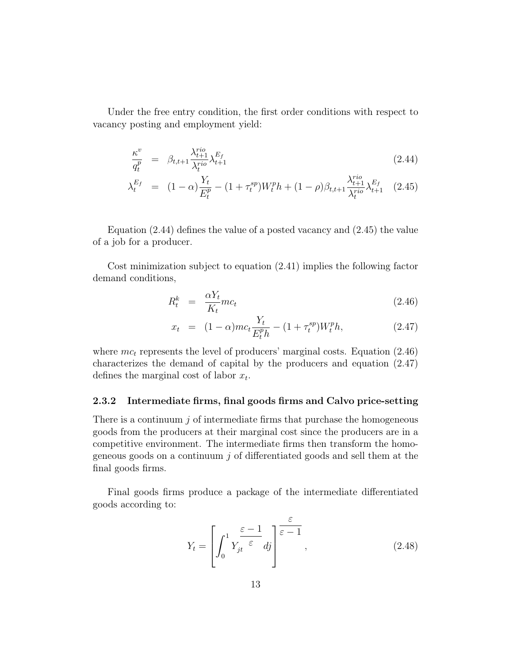Under the free entry condition, the first order conditions with respect to vacancy posting and employment yield:

$$
\frac{\kappa^v}{q_t^p} = \beta_{t,t+1} \frac{\lambda_{t+1}^{rio}}{\lambda_t^{rio}} \lambda_{t+1}^{E_f} \tag{2.44}
$$

$$
\lambda_t^{E_f} = (1 - \alpha) \frac{Y_t}{E_t^p} - (1 + \tau_t^{sp}) W_t^p h + (1 - \rho) \beta_{t, t+1} \frac{\lambda_{t+1}^{rio}}{\lambda_t^{rio}} \lambda_{t+1}^{E_f} \quad (2.45)
$$

Equation (2.44) defines the value of a posted vacancy and (2.45) the value of a job for a producer.

Cost minimization subject to equation (2.41) implies the following factor demand conditions,

$$
R_t^k = \frac{\alpha Y_t}{K_t} m c_t \tag{2.46}
$$

$$
x_t = (1 - \alpha)mc_t \frac{Y_t}{E_t^p h} - (1 + \tau_t^{sp})W_t^p h, \qquad (2.47)
$$

where  $mc_t$  represents the level of producers' marginal costs. Equation (2.46) characterizes the demand of capital by the producers and equation (2.47) defines the marginal cost of labor  $x_t$ .

### 2.3.2 Intermediate firms, final goods firms and Calvo price-setting

There is a continuum  $j$  of intermediate firms that purchase the homogeneous goods from the producers at their marginal cost since the producers are in a competitive environment. The intermediate firms then transform the homogeneous goods on a continuum  $j$  of differentiated goods and sell them at the final goods firms.

Final goods firms produce a package of the intermediate differentiated goods according to:

$$
Y_t = \left[ \int_0^1 Y_{jt} \frac{\varepsilon - 1}{\varepsilon} dj \right] \frac{\varepsilon}{\varepsilon - 1},\tag{2.48}
$$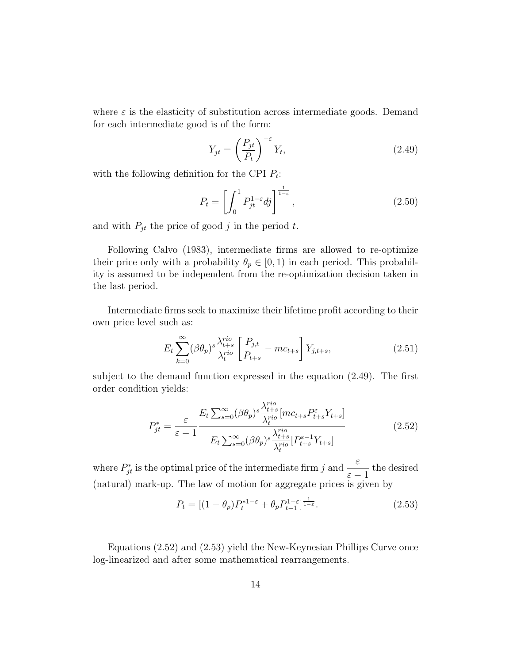where  $\varepsilon$  is the elasticity of substitution across intermediate goods. Demand for each intermediate good is of the form:

$$
Y_{jt} = \left(\frac{P_{jt}}{P_t}\right)^{-\varepsilon} Y_t,\tag{2.49}
$$

with the following definition for the CPI  $P_t$ :

$$
P_t = \left[ \int_0^1 P_{jt}^{1-\varepsilon} dj \right]^{\frac{1}{1-\varepsilon}}, \qquad (2.50)
$$

and with  $P_{jt}$  the price of good j in the period t.

Following Calvo (1983), intermediate firms are allowed to re-optimize their price only with a probability  $\theta_p \in [0, 1)$  in each period. This probability is assumed to be independent from the re-optimization decision taken in the last period.

Intermediate firms seek to maximize their lifetime profit according to their own price level such as:

$$
E_t \sum_{k=0}^{\infty} (\beta \theta_p)^s \frac{\lambda_{t+s}^{rio}}{\lambda_t^{rio}} \left[ \frac{P_{j,t}}{P_{t+s}} - mc_{t+s} \right] Y_{j,t+s}, \tag{2.51}
$$

subject to the demand function expressed in the equation (2.49). The first order condition yields:

$$
P_{jt}^{*} = \frac{\varepsilon}{\varepsilon - 1} \frac{E_t \sum_{s=0}^{\infty} (\beta \theta_p)^s \frac{\lambda_{t+s}^{rio}}{\lambda_t^{rio}} [mc_{t+s} P_{t+s}^{\varepsilon} Y_{t+s}]}{E_t \sum_{s=0}^{\infty} (\beta \theta_p)^s \frac{\lambda_{t+s}^{rio}}{\lambda_t^{rio}} [P_{t+s}^{\varepsilon-1} Y_{t+s}]}
$$
(2.52)

where  $P_{jt}^*$  is the optimal price of the intermediate firm j and  $\frac{\varepsilon}{\varepsilon - 1}$ the desired (natural) mark-up. The law of motion for aggregate prices is given by

$$
P_t = [(1 - \theta_p)P_t^{*1 - \varepsilon} + \theta_p P_{t-1}^{1 - \varepsilon}]^{\frac{1}{1 - \varepsilon}}.
$$
\n(2.53)

Equations (2.52) and (2.53) yield the New-Keynesian Phillips Curve once log-linearized and after some mathematical rearrangements.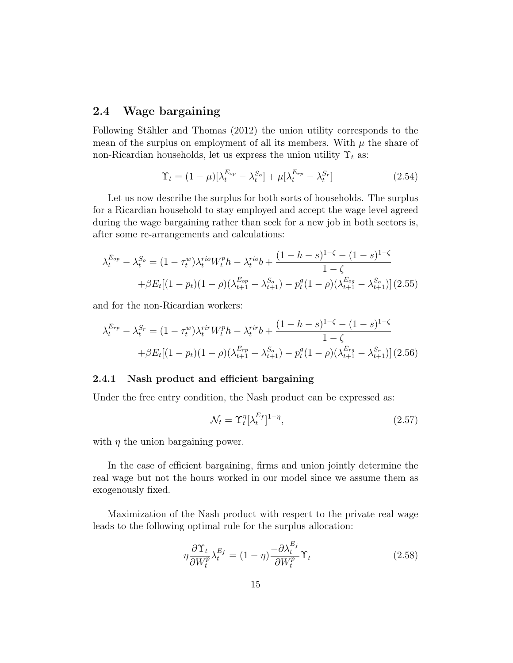# 2.4 Wage bargaining

Following Stähler and Thomas (2012) the union utility corresponds to the mean of the surplus on employment of all its members. With  $\mu$  the share of non-Ricardian households, let us express the union utility  $\Upsilon_t$  as:

$$
\Upsilon_t = (1 - \mu)[\lambda_t^{E_{op}} - \lambda_t^{S_o}] + \mu[\lambda_t^{E_{rp}} - \lambda_t^{S_r}]
$$
\n(2.54)

Let us now describe the surplus for both sorts of households. The surplus for a Ricardian household to stay employed and accept the wage level agreed during the wage bargaining rather than seek for a new job in both sectors is, after some re-arrangements and calculations:

$$
\lambda_t^{E_{op}} - \lambda_t^{S_o} = (1 - \tau_t^w) \lambda_t^{rio} W_t^p h - \lambda_t^{rio} b + \frac{(1 - h - s)^{1 - \zeta} - (1 - s)^{1 - \zeta}}{1 - \zeta}
$$

$$
+ \beta E_t [(1 - p_t)(1 - \rho) (\lambda_{t+1}^{E_{op}} - \lambda_{t+1}^{S_o}) - p_t^g (1 - \rho) (\lambda_{t+1}^{E_{og}} - \lambda_{t+1}^{S_o})] (2.55)
$$

and for the non-Ricardian workers:

$$
\lambda_t^{E_{rp}} - \lambda_t^{S_r} = (1 - \tau_t^w) \lambda_t^{rir} W_t^p h - \lambda_t^{rir} b + \frac{(1 - h - s)^{1 - \zeta} - (1 - s)^{1 - \zeta}}{1 - \zeta}
$$

$$
+ \beta E_t [(1 - p_t)(1 - \rho) (\lambda_{t+1}^{E_{rp}} - \lambda_{t+1}^{S_o}) - p_t^g (1 - \rho) (\lambda_{t+1}^{E_{rg}} - \lambda_{t+1}^{S_r})] (2.56)
$$

## 2.4.1 Nash product and efficient bargaining

Under the free entry condition, the Nash product can be expressed as:

$$
\mathcal{N}_t = \Upsilon_t^{\eta} [\lambda_t^{E_f}]^{1-\eta},\tag{2.57}
$$

with  $\eta$  the union bargaining power.

In the case of efficient bargaining, firms and union jointly determine the real wage but not the hours worked in our model since we assume them as exogenously fixed.

Maximization of the Nash product with respect to the private real wage leads to the following optimal rule for the surplus allocation:

$$
\eta \frac{\partial \Upsilon_t}{\partial W_t^p} \lambda_t^{E_f} = (1 - \eta) \frac{-\partial \lambda_t^{E_f}}{\partial W_t^p} \Upsilon_t
$$
\n(2.58)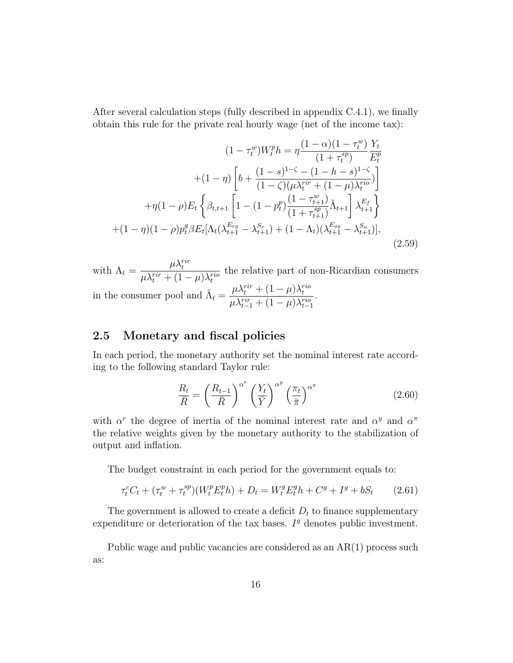After several calculation steps (fully described in appendix C.4.1), we finally obtain this rule for the private real hourly wage (net of the income tax):

$$
(1 - \tau_t^w)W_t^p h = \eta \frac{(1 - \alpha)(1 - \tau_t^w)}{(1 + \tau_t^{sp})} \frac{Y_t}{E_t^p}
$$

$$
+ (1 - \eta) \left[ b + \frac{(1 - s)^{1 - \zeta} - (1 - h - s)^{1 - \zeta}}{(1 - \zeta)(\mu \lambda_t^{rir} + (1 - \mu)\lambda_t^{rio})} \right]
$$

$$
+ \eta (1 - \rho) E_t \left\{ \beta_{t, t+1} \left[ 1 - (1 - p_t^p) \frac{(1 - \tau_{t+1}^w)}{(1 + \tau_{t+1}^{sp})} \tilde{\Lambda}_{t+1} \right] \lambda_{t+1}^{E_f} \right\}
$$

$$
+ (1 - \eta)(1 - \rho) p_t^g \beta E_t [\Lambda_t (\lambda_{t+1}^{E_{rg}} - \lambda_{t+1}^{S_r}) + (1 - \Lambda_t)(\lambda_{t+1}^{E_{rg}} - \lambda_{t+1}^{S_o})], \tag{2.59}
$$

with  $\Lambda_t =$  $\mu\lambda_t^{rir}$  $\mu\lambda_t^{rir} + (1-\mu)\lambda_t^{rio}$ the relative part of non-Ricardian consumers

in the consumer pool and  $\tilde{\Lambda}_t =$  $\mu\lambda_t^{rir} + (1-\mu)\lambda_t^{rio}$  $\mu\lambda_{t-1}^{rir} + (1-\mu)\lambda_{t-1}^{rio}$ .

# 2.5 Monetary and fiscal policies

In each period, the monetary authority set the nominal interest rate according to the following standard Taylor rule:

$$
\frac{R_t}{\bar{R}} = \left(\frac{R_{t-1}}{\bar{R}}\right)^{\alpha^r} \left(\frac{Y_t}{\bar{Y}}\right)^{\alpha^y} \left(\frac{\pi_t}{\bar{\pi}}\right)^{\alpha^{\pi}}
$$
\n(2.60)

with  $\alpha^r$  the degree of inertia of the nominal interest rate and  $\alpha^y$  and  $\alpha^{\pi}$ the relative weights given by the monetary authority to the stabilization of output and inflation.

The budget constraint in each period for the government equals to:

$$
\tau_t^c C_t + (\tau_t^w + \tau_t^{sp})(W_t^p E_t^p h) + D_t = W_t^g E_t^g h + C^g + I^g + bS_t \qquad (2.61)
$$

The government is allowed to create a deficit  $D_t$  to finance supplementary expenditure or deterioration of the tax bases.  $I<sup>g</sup>$  denotes public investment.

Public wage and public vacancies are considered as an AR(1) process such as: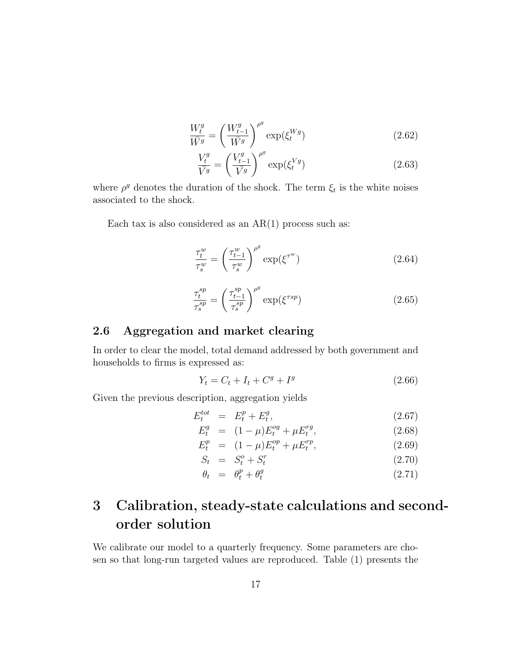$$
\frac{W_t^g}{\bar{W}^g} = \left(\frac{W_{t-1}^g}{\bar{W}^g}\right)^{\rho^g} \exp(\xi_t^{Wg})
$$
\n(2.62)

$$
\frac{V_t^g}{\bar{V}^g} = \left(\frac{V_{t-1}^g}{\bar{V}^g}\right)^{\rho^g} \exp(\xi_t^{Vg})
$$
\n(2.63)

where  $\rho^g$  denotes the duration of the shock. The term  $\xi_t$  is the white noises associated to the shock.

Each tax is also considered as an  $AR(1)$  process such as:

$$
\frac{\tau_t^w}{\tau_s^w} = \left(\frac{\tau_{t-1}^w}{\tau_s^w}\right)^{\rho^g} \exp(\xi^{\tau^w})
$$
\n(2.64)

$$
\frac{\tau_t^{sp}}{\tau_s^{sp}} = \left(\frac{\tau_{t-1}^{sp}}{\tau_s^{sp}}\right)^{\rho^g} \exp(\xi^{\tau sp})
$$
\n(2.65)

# 2.6 Aggregation and market clearing

In order to clear the model, total demand addressed by both government and households to firms is expressed as:

$$
Y_t = C_t + I_t + C^g + I^g \tag{2.66}
$$

Given the previous description, aggregation yields

$$
E_t^{tot} = E_t^p + E_t^g, \qquad (2.67)
$$

$$
E_t^g = (1 - \mu)E_t^{og} + \mu E_t^{rg}, \qquad (2.68)
$$

$$
E_t^p = (1 - \mu)E_t^{op} + \mu E_t^{rp}, \qquad (2.69)
$$

$$
S_t = S_t^o + S_t^r \tag{2.70}
$$

$$
\theta_t = \theta_t^p + \theta_t^g \tag{2.71}
$$

# 3 Calibration, steady-state calculations and secondorder solution

We calibrate our model to a quarterly frequency. Some parameters are chosen so that long-run targeted values are reproduced. Table (1) presents the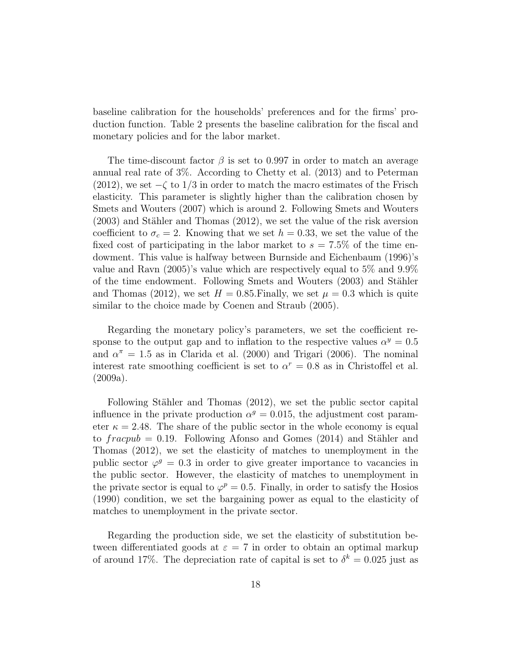baseline calibration for the households' preferences and for the firms' production function. Table 2 presents the baseline calibration for the fiscal and monetary policies and for the labor market.

The time-discount factor  $\beta$  is set to 0.997 in order to match an average annual real rate of 3%. According to Chetty et al. (2013) and to Peterman (2012), we set  $-\zeta$  to 1/3 in order to match the macro estimates of the Frisch elasticity. This parameter is slightly higher than the calibration chosen by Smets and Wouters (2007) which is around 2. Following Smets and Wouters (2003) and Stähler and Thomas (2012), we set the value of the risk aversion coefficient to  $\sigma_c = 2$ . Knowing that we set  $h = 0.33$ , we set the value of the fixed cost of participating in the labor market to  $s = 7.5\%$  of the time endowment. This value is halfway between Burnside and Eichenbaum (1996)'s value and Ravn (2005)'s value which are respectively equal to 5% and 9.9% of the time endowment. Following Smets and Wouters (2003) and Stähler and Thomas (2012), we set  $H = 0.85$ . Finally, we set  $\mu = 0.3$  which is quite similar to the choice made by Coenen and Straub (2005).

Regarding the monetary policy's parameters, we set the coefficient response to the output gap and to inflation to the respective values  $\alpha^y = 0.5$ and  $\alpha^{\pi} = 1.5$  as in Clarida et al. (2000) and Trigari (2006). The nominal interest rate smoothing coefficient is set to  $\alpha^r = 0.8$  as in Christoffel et al. (2009a).

Following Stähler and Thomas (2012), we set the public sector capital influence in the private production  $\alpha^g = 0.015$ , the adjustment cost parameter  $\kappa = 2.48$ . The share of the public sector in the whole economy is equal to fracpub = 0.19. Following Afonso and Gomes (2014) and Stähler and Thomas (2012), we set the elasticity of matches to unemployment in the public sector  $\varphi^g = 0.3$  in order to give greater importance to vacancies in the public sector. However, the elasticity of matches to unemployment in the private sector is equal to  $\varphi^p = 0.5$ . Finally, in order to satisfy the Hosios (1990) condition, we set the bargaining power as equal to the elasticity of matches to unemployment in the private sector.

Regarding the production side, we set the elasticity of substitution between differentiated goods at  $\varepsilon = 7$  in order to obtain an optimal markup of around 17%. The depreciation rate of capital is set to  $\delta^k = 0.025$  just as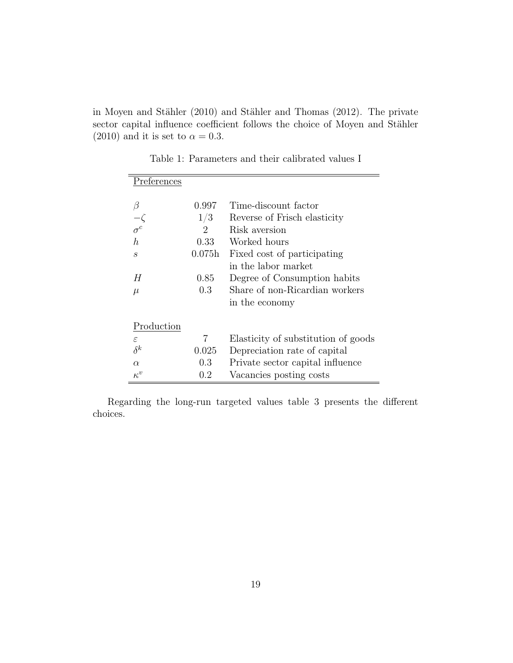in Moyen and Stähler (2010) and Stähler and Thomas (2012). The private sector capital influence coefficient follows the choice of Moyen and Stähler (2010) and it is set to  $\alpha = 0.3$ .

| Preferences       |                   |                                     |
|-------------------|-------------------|-------------------------------------|
|                   |                   |                                     |
|                   |                   |                                     |
| β                 | 0.997             | Time-discount factor                |
|                   | 1/3               | Reverse of Frisch elasticity        |
| $\sigma^c$        | $\overline{2}$    | Risk aversion                       |
| h                 | 0.33              | Worked hours                        |
| $\mathcal{S}_{0}$ | $0.075\mathrm{h}$ | Fixed cost of participating         |
|                   |                   | in the labor market                 |
| H                 | 0.85              | Degree of Consumption habits        |
| $\mu$             | 0.3               | Share of non-Ricardian workers      |
|                   |                   | in the economy                      |
|                   |                   |                                     |
| Production        |                   |                                     |
| $\epsilon$        | 7                 | Elasticity of substitution of goods |
| $\delta^k$        | 0.025             | Depreciation rate of capital        |
| $\alpha$          | $0.3\,$           | Private sector capital influence    |
| $\kappa^v$        | $0.2^{\circ}$     | Vacancies posting costs             |

Table 1: Parameters and their calibrated values I

Regarding the long-run targeted values table 3 presents the different choices.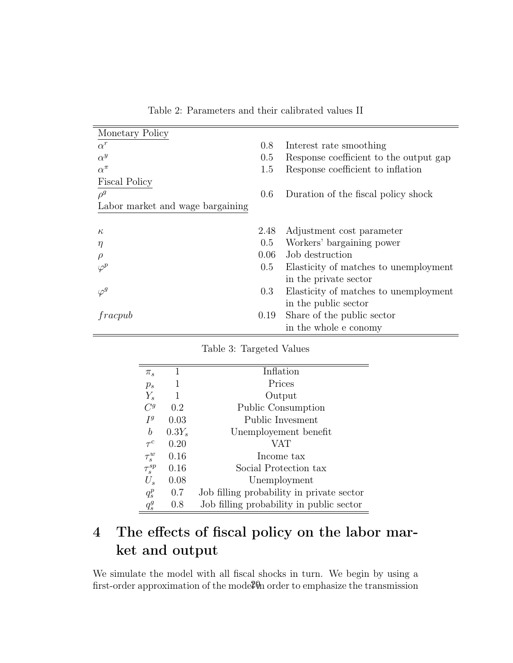| Monetary Policy                  |      |                                        |
|----------------------------------|------|----------------------------------------|
| $\alpha^r$                       | 0.8  | Interest rate smoothing                |
| $\alpha^y$                       | 0.5  | Response coefficient to the output gap |
| $\alpha^{\pi}$                   | 1.5  | Response coefficient to inflation      |
| Fiscal Policy                    |      |                                        |
| $\rho^g$                         | 0.6  | Duration of the fiscal policy shock    |
| Labor market and wage bargaining |      |                                        |
|                                  |      |                                        |
| $\kappa$                         | 2.48 | Adjustment cost parameter              |
| $\eta$                           | 0.5  | Workers' bargaining power              |
|                                  | 0.06 | Job destruction                        |
| $\varphi^p$                      | 0.5  | Elasticity of matches to unemployment  |
|                                  |      | in the private sector                  |
| $\varphi^g$                      | 0.3  | Elasticity of matches to unemployment  |
|                                  |      | in the public sector                   |
| fracp                            | 0.19 | Share of the public sector             |
|                                  |      | in the whole e conomy                  |

Table 2: Parameters and their calibrated values II

Table 3: Targeted Values

| $\pi_s$        |          | Inflation                                 |
|----------------|----------|-------------------------------------------|
| $p_s$          |          | Prices                                    |
| $Y_s$          |          | Output                                    |
| C <sup>g</sup> | 0.2      | Public Consumption                        |
| $I^g$          | 0.03     | Public Invesment                          |
| b              | $0.3Y_s$ | Unemployement benefit                     |
| $\tau^c$       | 0.20     | VAT                                       |
| $\tau_s^w$     | 0.16     | Income tax                                |
| $\tau_s^{sp}$  | 0.16     | Social Protection tax                     |
| $U_s$          | 0.08     | Unemployment                              |
| $q_s^p$        | 0.7      | Job filling probability in private sector |
| $q_s^g$        | 0.8      | Job filling probability in public sector  |

# 4 The effects of fiscal policy on the labor market and output

We simulate the model with all fiscal shocks in turn. We begin by using a first-order approximation of the model  $\mathbb{R}$  order to emphasize the transmission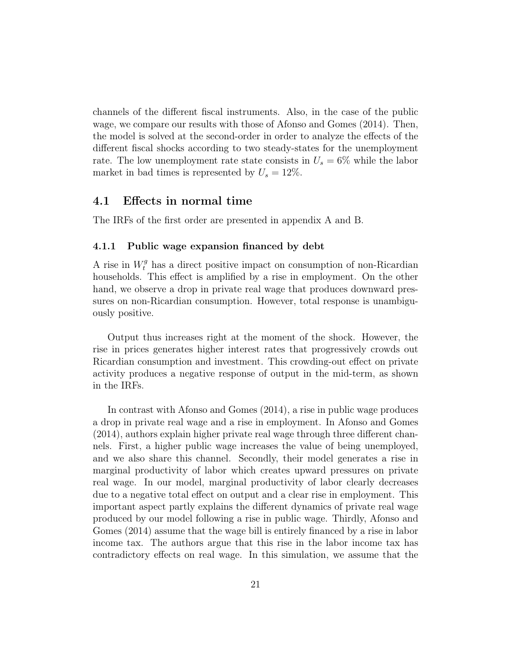channels of the different fiscal instruments. Also, in the case of the public wage, we compare our results with those of Afonso and Gomes (2014). Then, the model is solved at the second-order in order to analyze the effects of the different fiscal shocks according to two steady-states for the unemployment rate. The low unemployment rate state consists in  $U_s = 6\%$  while the labor market in bad times is represented by  $U_s = 12\%$ .

## 4.1 Effects in normal time

The IRFs of the first order are presented in appendix A and B.

#### 4.1.1 Public wage expansion financed by debt

A rise in  $W_t^g$  has a direct positive impact on consumption of non-Ricardian households. This effect is amplified by a rise in employment. On the other hand, we observe a drop in private real wage that produces downward pressures on non-Ricardian consumption. However, total response is unambiguously positive.

Output thus increases right at the moment of the shock. However, the rise in prices generates higher interest rates that progressively crowds out Ricardian consumption and investment. This crowding-out effect on private activity produces a negative response of output in the mid-term, as shown in the IRFs.

In contrast with Afonso and Gomes (2014), a rise in public wage produces a drop in private real wage and a rise in employment. In Afonso and Gomes (2014), authors explain higher private real wage through three different channels. First, a higher public wage increases the value of being unemployed, and we also share this channel. Secondly, their model generates a rise in marginal productivity of labor which creates upward pressures on private real wage. In our model, marginal productivity of labor clearly decreases due to a negative total effect on output and a clear rise in employment. This important aspect partly explains the different dynamics of private real wage produced by our model following a rise in public wage. Thirdly, Afonso and Gomes (2014) assume that the wage bill is entirely financed by a rise in labor income tax. The authors argue that this rise in the labor income tax has contradictory effects on real wage. In this simulation, we assume that the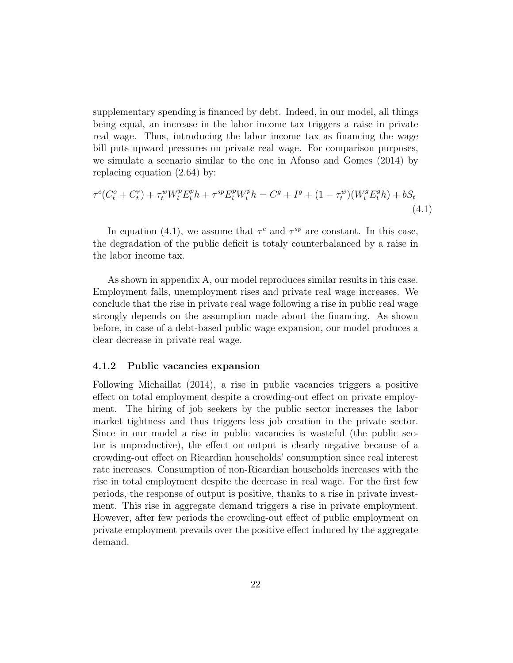supplementary spending is financed by debt. Indeed, in our model, all things being equal, an increase in the labor income tax triggers a raise in private real wage. Thus, introducing the labor income tax as financing the wage bill puts upward pressures on private real wage. For comparison purposes, we simulate a scenario similar to the one in Afonso and Gomes (2014) by replacing equation (2.64) by:

$$
\tau^{c}(C_{t}^{o} + C_{t}^{r}) + \tau_{t}^{w}W_{t}^{p}E_{t}^{p}h + \tau^{sp}E_{t}^{p}W_{t}^{p}h = C^{g} + I^{g} + (1 - \tau_{t}^{w})(W_{t}^{g}E_{t}^{g}h) + bS_{t}
$$
\n(4.1)

In equation (4.1), we assume that  $\tau^c$  and  $\tau^{sp}$  are constant. In this case, the degradation of the public deficit is totaly counterbalanced by a raise in the labor income tax.

As shown in appendix A, our model reproduces similar results in this case. Employment falls, unemployment rises and private real wage increases. We conclude that the rise in private real wage following a rise in public real wage strongly depends on the assumption made about the financing. As shown before, in case of a debt-based public wage expansion, our model produces a clear decrease in private real wage.

#### 4.1.2 Public vacancies expansion

Following Michaillat (2014), a rise in public vacancies triggers a positive effect on total employment despite a crowding-out effect on private employment. The hiring of job seekers by the public sector increases the labor market tightness and thus triggers less job creation in the private sector. Since in our model a rise in public vacancies is wasteful (the public sector is unproductive), the effect on output is clearly negative because of a crowding-out effect on Ricardian households' consumption since real interest rate increases. Consumption of non-Ricardian households increases with the rise in total employment despite the decrease in real wage. For the first few periods, the response of output is positive, thanks to a rise in private investment. This rise in aggregate demand triggers a rise in private employment. However, after few periods the crowding-out effect of public employment on private employment prevails over the positive effect induced by the aggregate demand.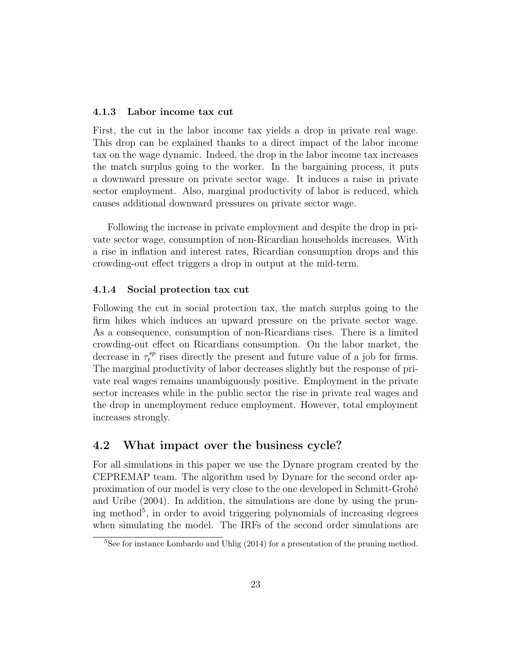### 4.1.3 Labor income tax cut

First, the cut in the labor income tax yields a drop in private real wage. This drop can be explained thanks to a direct impact of the labor income tax on the wage dynamic. Indeed, the drop in the labor income tax increases the match surplus going to the worker. In the bargaining process, it puts a downward pressure on private sector wage. It induces a raise in private sector employment. Also, marginal productivity of labor is reduced, which causes additional downward pressures on private sector wage.

Following the increase in private employment and despite the drop in private sector wage, consumption of non-Ricardian households increases. With a rise in inflation and interest rates, Ricardian consumption drops and this crowding-out effect triggers a drop in output at the mid-term.

#### 4.1.4 Social protection tax cut

Following the cut in social protection tax, the match surplus going to the firm hikes which induces an upward pressure on the private sector wage. As a consequence, consumption of non-Ricardians rises. There is a limited crowding-out effect on Ricardians consumption. On the labor market, the decrease in  $\tau_t^{sp}$  $t_t^{sp}$  rises directly the present and future value of a job for firms. The marginal productivity of labor decreases slightly but the response of private real wages remains unambiguously positive. Employment in the private sector increases while in the public sector the rise in private real wages and the drop in unemployment reduce employment. However, total employment increases strongly.

# 4.2 What impact over the business cycle?

For all simulations in this paper we use the Dynare program created by the CEPREMAP team. The algorithm used by Dynare for the second order approximation of our model is very close to the one developed in Schmitt-Grohé and Uribe (2004). In addition, the simulations are done by using the pruning method<sup>5</sup> , in order to avoid triggering polynomials of increasing degrees when simulating the model. The IRFs of the second order simulations are

<sup>5</sup>See for instance Lombardo and Uhlig (2014) for a presentation of the pruning method.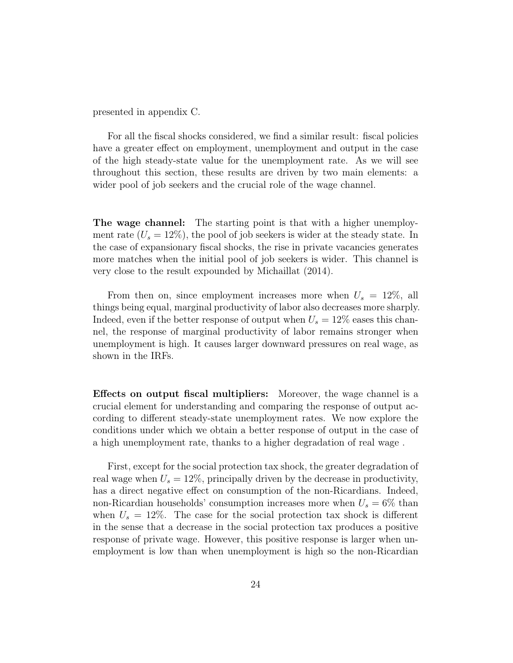presented in appendix C.

For all the fiscal shocks considered, we find a similar result: fiscal policies have a greater effect on employment, unemployment and output in the case of the high steady-state value for the unemployment rate. As we will see throughout this section, these results are driven by two main elements: a wider pool of job seekers and the crucial role of the wage channel.

The wage channel: The starting point is that with a higher unemployment rate  $(U_s = 12\%)$ , the pool of job seekers is wider at the steady state. In the case of expansionary fiscal shocks, the rise in private vacancies generates more matches when the initial pool of job seekers is wider. This channel is very close to the result expounded by Michaillat (2014).

From then on, since employment increases more when  $U_s = 12\%$ , all things being equal, marginal productivity of labor also decreases more sharply. Indeed, even if the better response of output when  $U_s = 12\%$  eases this channel, the response of marginal productivity of labor remains stronger when unemployment is high. It causes larger downward pressures on real wage, as shown in the IRFs.

Effects on output fiscal multipliers: Moreover, the wage channel is a crucial element for understanding and comparing the response of output according to different steady-state unemployment rates. We now explore the conditions under which we obtain a better response of output in the case of a high unemployment rate, thanks to a higher degradation of real wage .

First, except for the social protection tax shock, the greater degradation of real wage when  $U_s = 12\%$ , principally driven by the decrease in productivity, has a direct negative effect on consumption of the non-Ricardians. Indeed, non-Ricardian households' consumption increases more when  $U_s = 6\%$  than when  $U_s = 12\%$ . The case for the social protection tax shock is different in the sense that a decrease in the social protection tax produces a positive response of private wage. However, this positive response is larger when unemployment is low than when unemployment is high so the non-Ricardian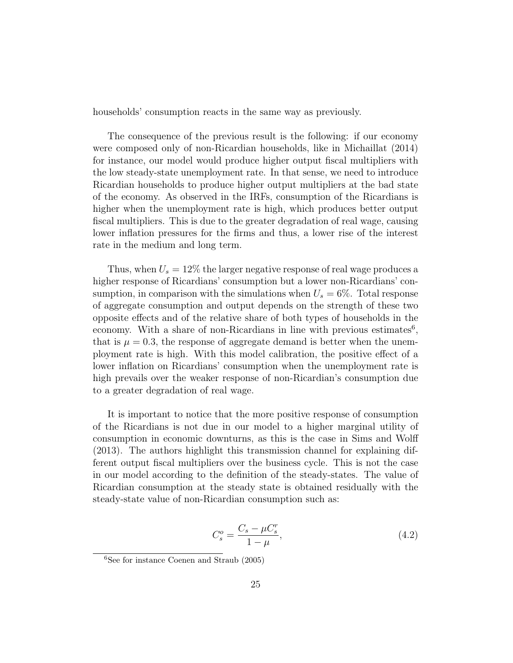households' consumption reacts in the same way as previously.

The consequence of the previous result is the following: if our economy were composed only of non-Ricardian households, like in Michaillat (2014) for instance, our model would produce higher output fiscal multipliers with the low steady-state unemployment rate. In that sense, we need to introduce Ricardian households to produce higher output multipliers at the bad state of the economy. As observed in the IRFs, consumption of the Ricardians is higher when the unemployment rate is high, which produces better output fiscal multipliers. This is due to the greater degradation of real wage, causing lower inflation pressures for the firms and thus, a lower rise of the interest rate in the medium and long term.

Thus, when  $U_s = 12\%$  the larger negative response of real wage produces a higher response of Ricardians' consumption but a lower non-Ricardians' consumption, in comparison with the simulations when  $U_s = 6\%$ . Total response of aggregate consumption and output depends on the strength of these two opposite effects and of the relative share of both types of households in the economy. With a share of non-Ricardians in line with previous estimates<sup>6</sup>, that is  $\mu = 0.3$ , the response of aggregate demand is better when the unemployment rate is high. With this model calibration, the positive effect of a lower inflation on Ricardians' consumption when the unemployment rate is high prevails over the weaker response of non-Ricardian's consumption due to a greater degradation of real wage.

It is important to notice that the more positive response of consumption of the Ricardians is not due in our model to a higher marginal utility of consumption in economic downturns, as this is the case in Sims and Wolff (2013). The authors highlight this transmission channel for explaining different output fiscal multipliers over the business cycle. This is not the case in our model according to the definition of the steady-states. The value of Ricardian consumption at the steady state is obtained residually with the steady-state value of non-Ricardian consumption such as:

$$
C_s^o = \frac{C_s - \mu C_s^r}{1 - \mu},\tag{4.2}
$$

 ${}^{6}$ See for instance Coenen and Straub (2005)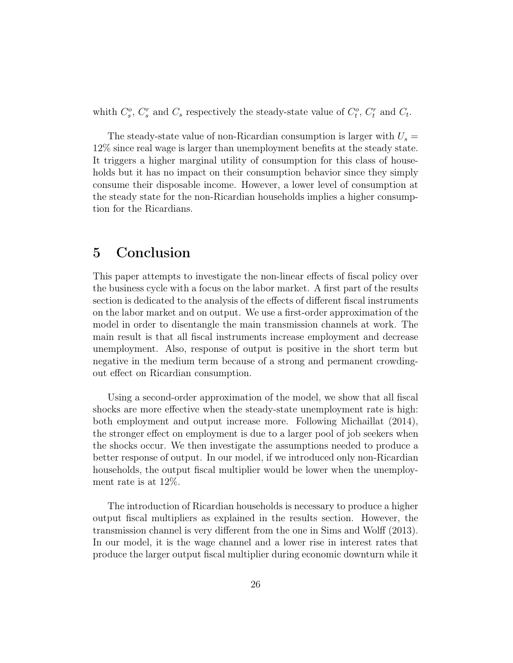whith  $C_s^o$ ,  $C_s^r$  and  $C_s$  respectively the steady-state value of  $C_t^o$ ,  $C_t^r$  and  $C_t$ .

The steady-state value of non-Ricardian consumption is larger with  $U_s =$ 12% since real wage is larger than unemployment benefits at the steady state. It triggers a higher marginal utility of consumption for this class of households but it has no impact on their consumption behavior since they simply consume their disposable income. However, a lower level of consumption at the steady state for the non-Ricardian households implies a higher consumption for the Ricardians.

# 5 Conclusion

This paper attempts to investigate the non-linear effects of fiscal policy over the business cycle with a focus on the labor market. A first part of the results section is dedicated to the analysis of the effects of different fiscal instruments on the labor market and on output. We use a first-order approximation of the model in order to disentangle the main transmission channels at work. The main result is that all fiscal instruments increase employment and decrease unemployment. Also, response of output is positive in the short term but negative in the medium term because of a strong and permanent crowdingout effect on Ricardian consumption.

Using a second-order approximation of the model, we show that all fiscal shocks are more effective when the steady-state unemployment rate is high: both employment and output increase more. Following Michaillat (2014), the stronger effect on employment is due to a larger pool of job seekers when the shocks occur. We then investigate the assumptions needed to produce a better response of output. In our model, if we introduced only non-Ricardian households, the output fiscal multiplier would be lower when the unemployment rate is at 12%.

The introduction of Ricardian households is necessary to produce a higher output fiscal multipliers as explained in the results section. However, the transmission channel is very different from the one in Sims and Wolff (2013). In our model, it is the wage channel and a lower rise in interest rates that produce the larger output fiscal multiplier during economic downturn while it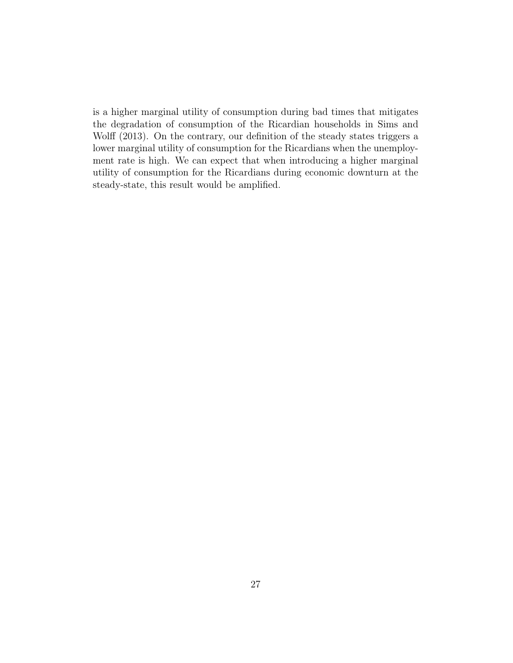is a higher marginal utility of consumption during bad times that mitigates the degradation of consumption of the Ricardian households in Sims and Wolff (2013). On the contrary, our definition of the steady states triggers a lower marginal utility of consumption for the Ricardians when the unemployment rate is high. We can expect that when introducing a higher marginal utility of consumption for the Ricardians during economic downturn at the steady-state, this result would be amplified.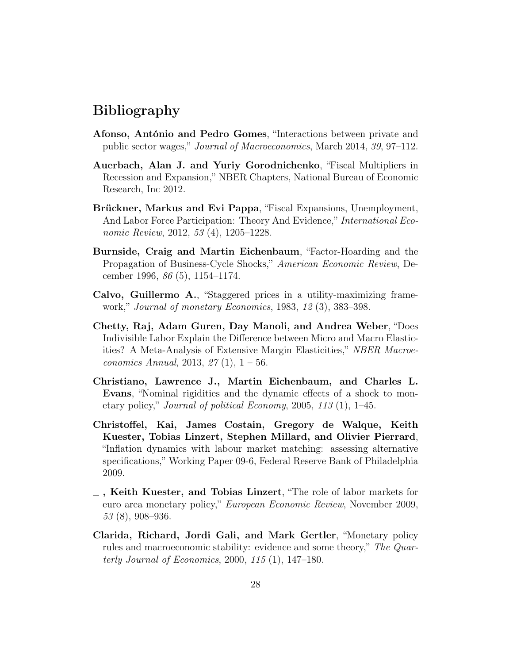# Bibliography

- Afonso, António and Pedro Gomes, "Interactions between private and public sector wages," Journal of Macroeconomics, March 2014, 39, 97–112.
- Auerbach, Alan J. and Yuriy Gorodnichenko, "Fiscal Multipliers in Recession and Expansion," NBER Chapters, National Bureau of Economic Research, Inc 2012.
- Brückner, Markus and Evi Pappa, "Fiscal Expansions, Unemployment, And Labor Force Participation: Theory And Evidence," International Economic Review, 2012, 53 (4), 1205–1228.
- Burnside, Craig and Martin Eichenbaum, "Factor-Hoarding and the Propagation of Business-Cycle Shocks," American Economic Review, December 1996, 86 (5), 1154–1174.
- Calvo, Guillermo A., "Staggered prices in a utility-maximizing framework," Journal of monetary Economics, 1983, 12 (3), 383–398.
- Chetty, Raj, Adam Guren, Day Manoli, and Andrea Weber, "Does Indivisible Labor Explain the Difference between Micro and Macro Elasticities? A Meta-Analysis of Extensive Margin Elasticities," NBER Macroeconomics Annual, 2013,  $27(1)$ ,  $1 - 56$ .
- Christiano, Lawrence J., Martin Eichenbaum, and Charles L. Evans, "Nominal rigidities and the dynamic effects of a shock to monetary policy," Journal of political Economy, 2005, 113 (1), 1–45.
- Christoffel, Kai, James Costain, Gregory de Walque, Keith Kuester, Tobias Linzert, Stephen Millard, and Olivier Pierrard, "Inflation dynamics with labour market matching: assessing alternative specifications," Working Paper 09-6, Federal Reserve Bank of Philadelphia 2009.
- $\overline{\phantom{a}}$ , Keith Kuester, and Tobias Linzert, "The role of labor markets for euro area monetary policy," European Economic Review, November 2009, 53 (8), 908–936.
- Clarida, Richard, Jordi Gali, and Mark Gertler, "Monetary policy rules and macroeconomic stability: evidence and some theory," The Quarterly Journal of Economics, 2000, 115 (1), 147–180.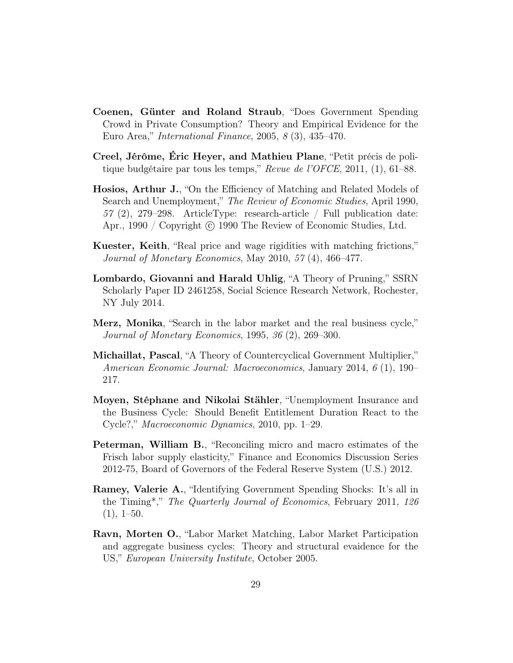- Coenen, Günter and Roland Straub, "Does Government Spending Crowd in Private Consumption? Theory and Empirical Evidence for the Euro Area," International Finance, 2005, 8 (3), 435–470.
- Creel, Jérôme, Éric Heyer, and Mathieu Plane, "Petit précis de politique budgétaire par tous les temps," Revue de l'OFCE, 2011, (1), 61–88.
- Hosios, Arthur J., "On the Efficiency of Matching and Related Models of Search and Unemployment," The Review of Economic Studies, April 1990, 57 (2), 279–298. ArticleType: research-article / Full publication date: Apr., 1990 / Copyright © 1990 The Review of Economic Studies, Ltd.
- Kuester, Keith, "Real price and wage rigidities with matching frictions," Journal of Monetary Economics, May 2010, 57 (4), 466–477.
- Lombardo, Giovanni and Harald Uhlig, "A Theory of Pruning," SSRN Scholarly Paper ID 2461258, Social Science Research Network, Rochester, NY July 2014.
- Merz, Monika, "Search in the labor market and the real business cycle," Journal of Monetary Economics, 1995, 36 (2), 269–300.
- Michaillat, Pascal, "A Theory of Countercyclical Government Multiplier," American Economic Journal: Macroeconomics, January 2014, 6 (1), 190– 217.
- Moyen, Stéphane and Nikolai Stähler, "Unemployment Insurance and the Business Cycle: Should Benefit Entitlement Duration React to the Cycle?," Macroeconomic Dynamics, 2010, pp. 1–29.
- Peterman, William B., "Reconciling micro and macro estimates of the Frisch labor supply elasticity," Finance and Economics Discussion Series 2012-75, Board of Governors of the Federal Reserve System (U.S.) 2012.
- Ramey, Valerie A., "Identifying Government Spending Shocks: It's all in the Timing\*," The Quarterly Journal of Economics, February 2011, 126  $(1), 1-50.$
- Ravn, Morten O., "Labor Market Matching, Labor Market Participation and aggregate business cycles: Theory and structural evaidence for the US," European University Institute, October 2005.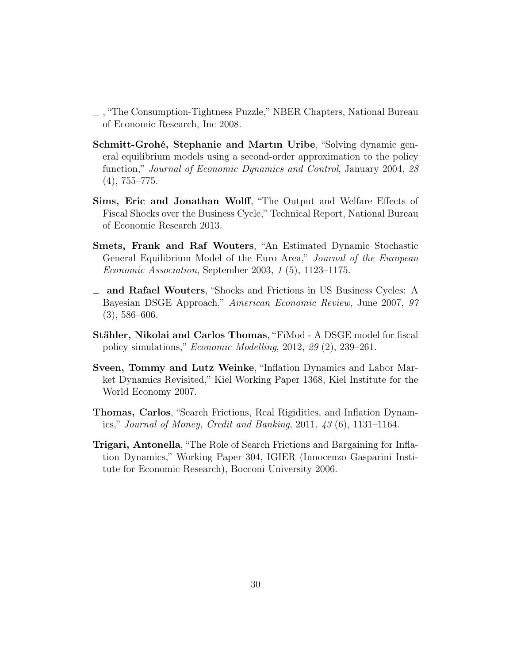- , "The Consumption-Tightness Puzzle," NBER Chapters, National Bureau of Economic Research, Inc 2008.
- Schmitt-Grohé, Stephanie and Martın Uribe, "Solving dynamic general equilibrium models using a second-order approximation to the policy function," Journal of Economic Dynamics and Control, January 2004, 28 (4), 755–775.
- Sims, Eric and Jonathan Wolff, "The Output and Welfare Effects of Fiscal Shocks over the Business Cycle," Technical Report, National Bureau of Economic Research 2013.
- Smets, Frank and Raf Wouters, "An Estimated Dynamic Stochastic General Equilibrium Model of the Euro Area," Journal of the European Economic Association, September 2003, 1 (5), 1123–1175.
- and Rafael Wouters, "Shocks and Frictions in US Business Cycles: A Bayesian DSGE Approach," American Economic Review, June 2007, 97 (3), 586–606.
- Stähler, Nikolai and Carlos Thomas, "FiMod A DSGE model for fiscal policy simulations," Economic Modelling, 2012, 29 (2), 239–261.
- Sveen, Tommy and Lutz Weinke, "Inflation Dynamics and Labor Market Dynamics Revisited," Kiel Working Paper 1368, Kiel Institute for the World Economy 2007.
- Thomas, Carlos, "Search Frictions, Real Rigidities, and Inflation Dynamics," Journal of Money, Credit and Banking, 2011, 43 (6), 1131–1164.
- Trigari, Antonella, "The Role of Search Frictions and Bargaining for Inflation Dynamics," Working Paper 304, IGIER (Innocenzo Gasparini Institute for Economic Research), Bocconi University 2006.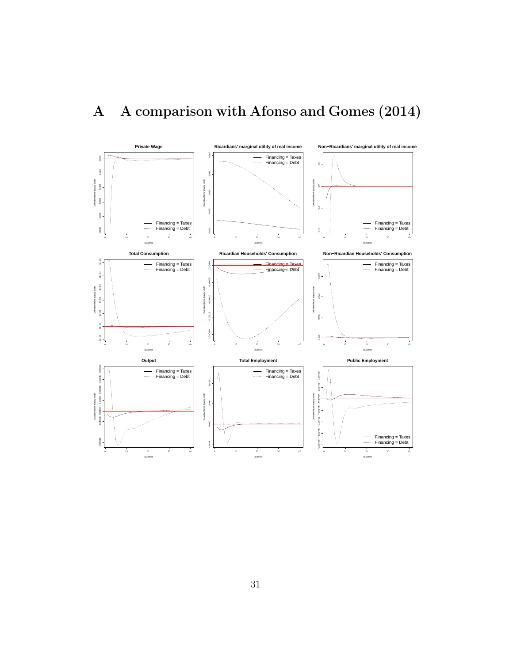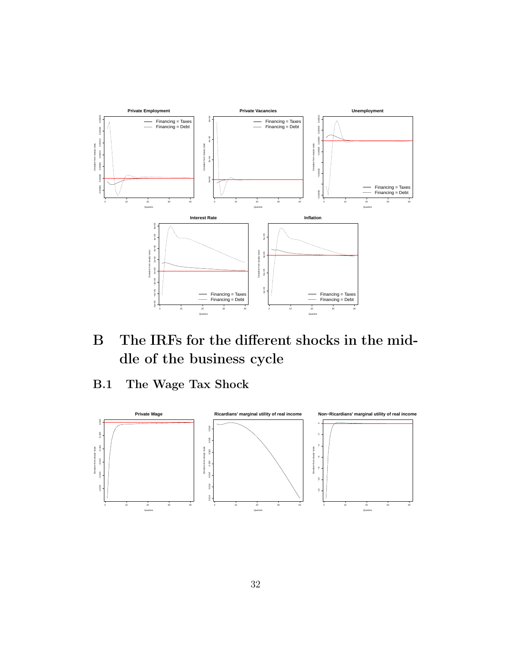

- B The IRFs for the different shocks in the middle of the business cycle
- B.1 The Wage Tax Shock

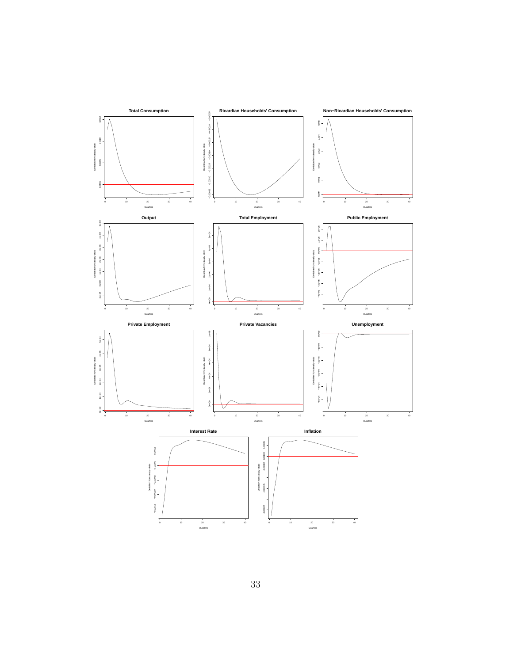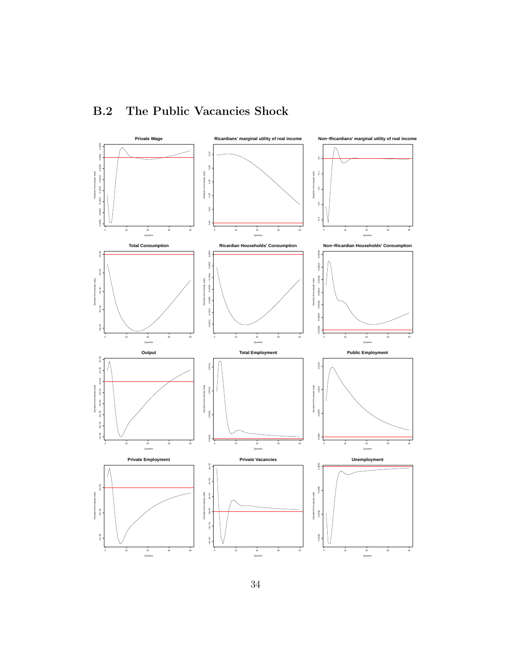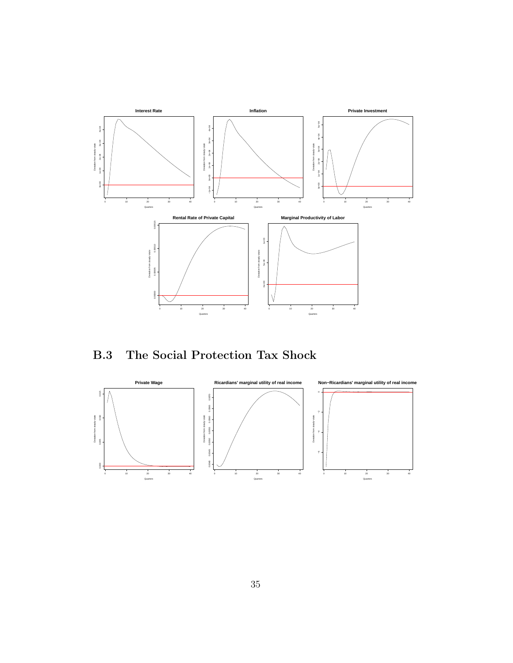

B.3 The Social Protection Tax Shock

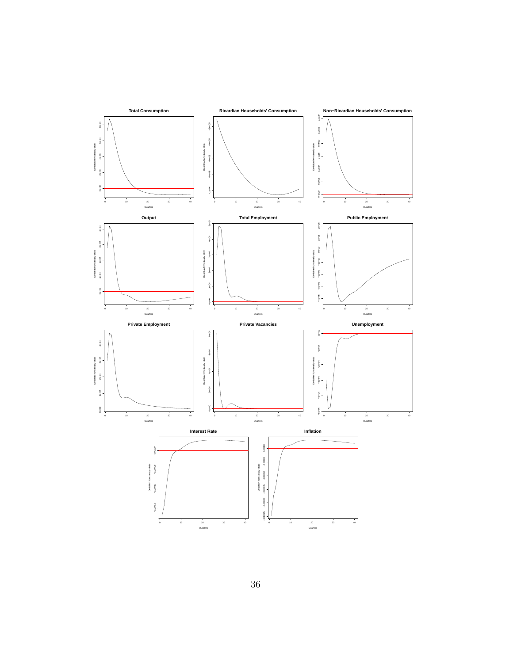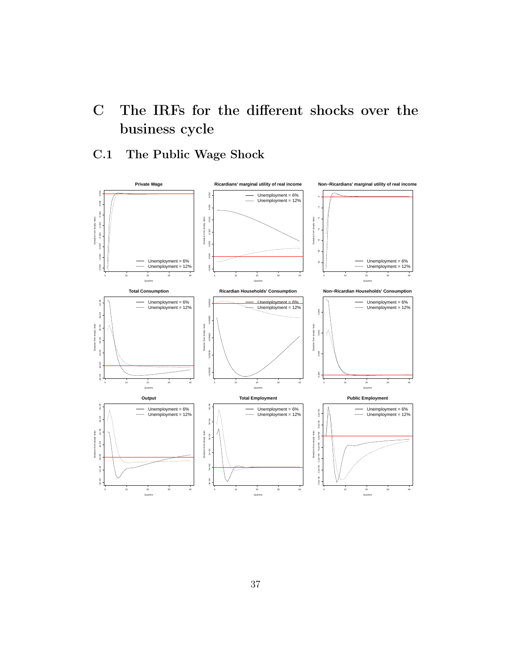- C The IRFs for the different shocks over the business cycle
- C.1 The Public Wage Shock

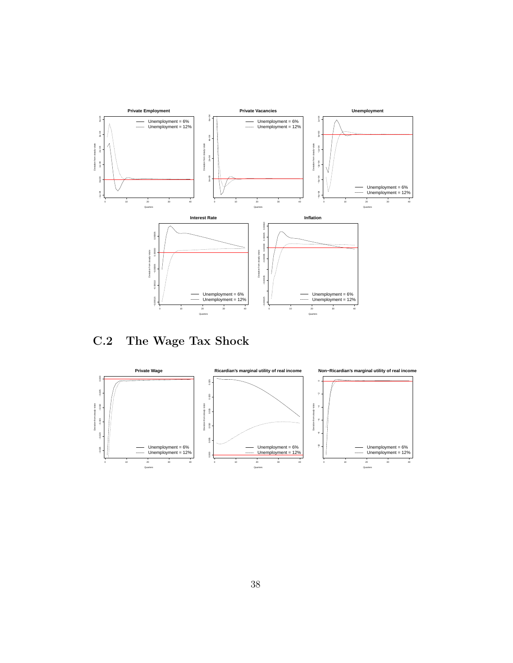

# C.2 The Wage Tax Shock

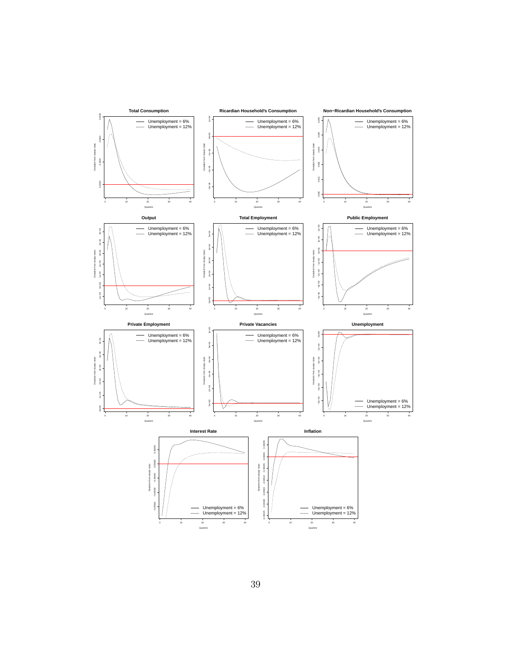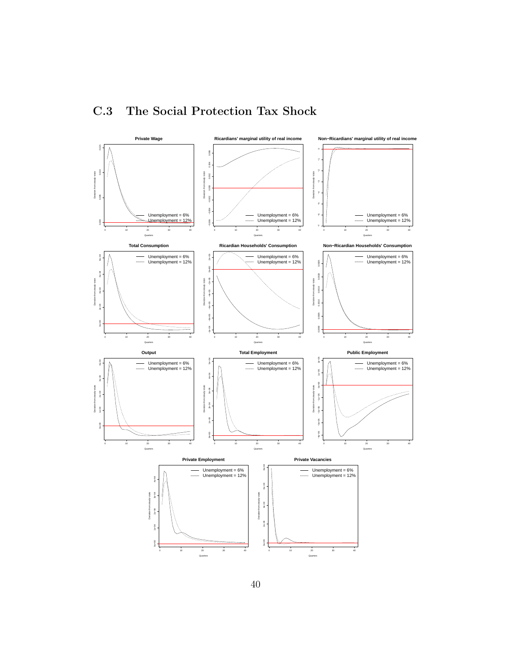# C.3 The Social Protection Tax Shock

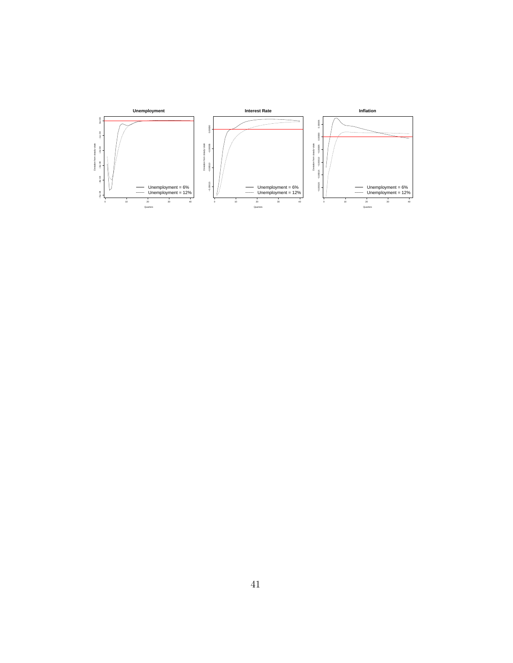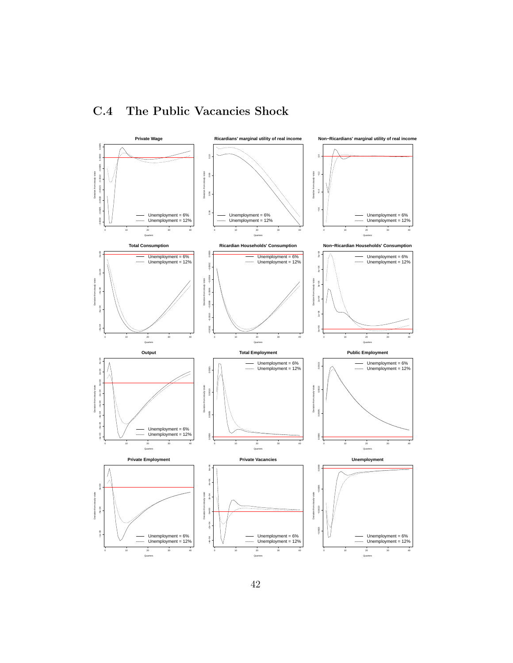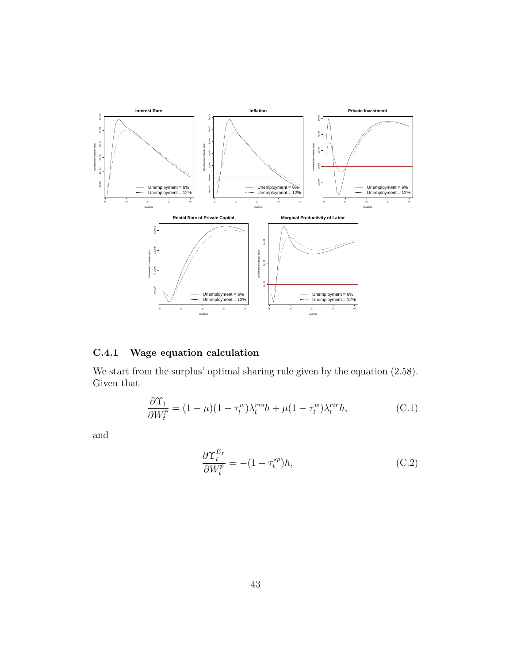

# C.4.1 Wage equation calculation

We start from the surplus' optimal sharing rule given by the equation  $(2.58)$ . Given that

$$
\frac{\partial \Upsilon_t}{\partial W_t^p} = (1 - \mu)(1 - \tau_t^w)\lambda_t^{rio}h + \mu(1 - \tau_t^w)\lambda_t^{rir}h,\tag{C.1}
$$

and

$$
\frac{\partial \Upsilon_t^{E_f}}{\partial W_t^p} = -(1 + \tau_t^{sp})h,\tag{C.2}
$$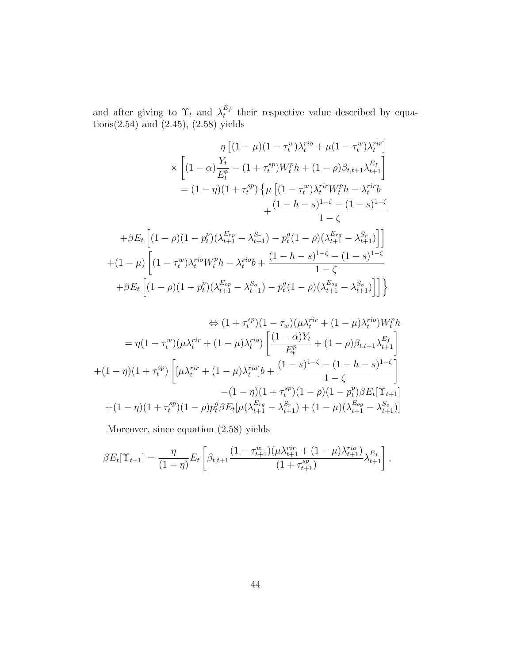and after giving to  $\Upsilon_t$  and  $\lambda_t^{E_f}$  $t_t^{E_f}$  their respective value described by equations(2.54) and (2.45), (2.58) yields

$$
\eta \left[ (1 - \mu)(1 - \tau_t^w) \lambda_t^{rio} + \mu (1 - \tau_t^w) \lambda_t^{rir} \right]
$$
\n
$$
\times \left[ (1 - \alpha) \frac{Y_t}{E_t^p} - (1 + \tau_t^{sp}) W_t^p h + (1 - \rho) \beta_{t, t+1} \lambda_{t+1}^{E_f} \right]
$$
\n
$$
= (1 - \eta)(1 + \tau_t^{sp}) \left\{ \mu \left[ (1 - \tau_t^w) \lambda_t^{rir} W_t^p h - \lambda_t^{rir} b + \frac{(1 - h - s)^{1 - \zeta} - (1 - s)^{1 - \zeta}}{1 - \zeta} \right] \right\}
$$
\n
$$
+ \beta E_t \left[ (1 - \rho)(1 - p_t^p)(\lambda_{t+1}^{E_{rp}} - \lambda_{t+1}^{S_r}) - p_t^g (1 - \rho)(\lambda_{t+1}^{E_{rq}} - \lambda_{t+1}^{S_r}) \right] \right]
$$
\n
$$
+ (1 - \mu) \left[ (1 - \tau_t^w) \lambda_t^{rio} W_t^p h - \lambda_t^{rio} b + \frac{(1 - h - s)^{1 - \zeta} - (1 - s)^{1 - \zeta}}{1 - \zeta} \right]
$$
\n
$$
+ \beta E_t \left[ (1 - \rho)(1 - p_t^p)(\lambda_{t+1}^{E_{op}} - \lambda_{t+1}^{S_o}) - p_t^g (1 - \rho)(\lambda_{t+1}^{E_{og}} - \lambda_{t+1}^{S_o}) \right] \right\}
$$

$$
\Leftrightarrow (1+\tau_t^{sp})(1-\tau_w)(\mu \lambda_t^{rir} + (1-\mu)\lambda_t^{rio})W_t^p h
$$
\n
$$
= \eta (1-\tau_t^w)(\mu \lambda_t^{rir} + (1-\mu)\lambda_t^{rio}) \left[ \frac{(1-\alpha)Y_t}{E_t^p} + (1-\rho)\beta_{t,t+1}\lambda_{t+1}^{E_f} \right]
$$
\n
$$
+ (1-\eta)(1+\tau_t^{sp}) \left[ [\mu \lambda_t^{rir} + (1-\mu)\lambda_t^{rio}]b + \frac{(1-s)^{1-\zeta} - (1-h-s)^{1-\zeta}}{1-\zeta} \right]
$$
\n
$$
- (1-\eta)(1+\tau_t^{sp})(1-\rho)(1-\rho_t^p)\beta E_t[\Upsilon_{t+1}]
$$
\n
$$
+ (1-\eta)(1+\tau_t^{sp})(1-\rho)p_t^q\beta E_t[\mu(\lambda_{t+1}^{E_{rg}} - \lambda_{t+1}^{S_r}) + (1-\mu)(\lambda_{t+1}^{E_{og}} - \lambda_{t+1}^{S_o})]
$$

Moreover, since equation (2.58) yields

$$
\beta E_t[\Upsilon_{t+1}] = \frac{\eta}{(1-\eta)} E_t \left[ \beta_{t,t+1} \frac{(1-\tau_{t+1}^w)(\mu \lambda_{t+1}^{rir} + (1-\mu) \lambda_{t+1}^{rio})}{(1+\tau_{t+1}^{sp})} \lambda_{t+1}^{E_f} \right],
$$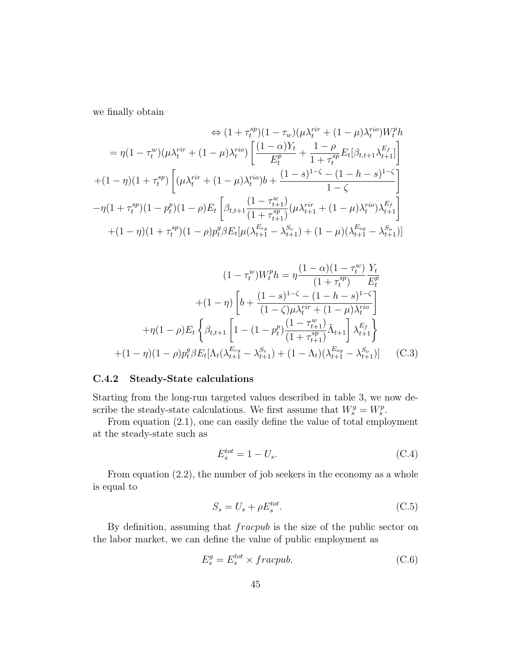we finally obtain

$$
\Leftrightarrow (1 + \tau_t^{sp})(1 - \tau_w)(\mu \lambda_t^{rir} + (1 - \mu) \lambda_t^{rio})W_t^p h
$$
\n
$$
= \eta (1 - \tau_t^w)(\mu \lambda_t^{rir} + (1 - \mu) \lambda_t^{rio}) \left[ \frac{(1 - \alpha)Y_t}{E_t^p} + \frac{1 - \rho}{1 + \tau_t^{sp}} E_t [\beta_{t, t+1} \lambda_{t+1}^{E_f}] \right]
$$
\n
$$
+ (1 - \eta)(1 + \tau_t^{sp}) \left[ (\mu \lambda_t^{rir} + (1 - \mu) \lambda_t^{rio}) b + \frac{(1 - s)^{1 - \zeta} - (1 - h - s)^{1 - \zeta}}{1 - \zeta} \right]
$$
\n
$$
- \eta (1 + \tau_t^{sp})(1 - p_t^p)(1 - \rho) E_t \left[ \beta_{t, t+1} \frac{(1 - \tau_{t+1}^w)}{(1 + \tau_{t+1}^{sp})} (\mu \lambda_{t+1}^{rir} + (1 - \mu) \lambda_t^{rio}) \lambda_{t+1}^{E_f} \right]
$$
\n
$$
+ (1 - \eta)(1 + \tau_t^{sp})(1 - \rho) p_t^g \beta E_t [\mu (\lambda_{t+1}^{E_{rg}} - \lambda_{t+1}^{S_r}) + (1 - \mu) (\lambda_{t+1}^{E_{og}} - \lambda_{t+1}^{S_o})]
$$

$$
(1 - \tau_t^w)W_t^p h = \eta \frac{(1 - \alpha)(1 - \tau_t^w)}{(1 + \tau_t^{sp})} \frac{Y_t}{E_t^p}
$$

$$
+ (1 - \eta) \left[ b + \frac{(1 - s)^{1 - \zeta} - (1 - h - s)^{1 - \zeta}}{(1 - \zeta)\mu \lambda_t^{rir} + (1 - \mu)\lambda_t^{rio}} \right]
$$

$$
+ \eta (1 - \rho) E_t \left\{ \beta_{t, t+1} \left[ 1 - (1 - p_t^p) \frac{(1 - \tau_{t+1}^w)}{(1 + \tau_{t+1}^{sp})} \tilde{\Lambda}_{t+1} \right] \lambda_{t+1}^{E_f} \right\}
$$

$$
+ (1 - \eta)(1 - \rho) p_t^g \beta E_t [\Lambda_t (\lambda_{t+1}^{E_{rg}} - \lambda_{t+1}^{S_r}) + (1 - \Lambda_t)(\lambda_{t+1}^{E_{og}} - \lambda_{t+1}^{S_o})] \tag{C.3}
$$

## C.4.2 Steady-State calculations

Starting from the long-run targeted values described in table 3, we now describe the steady-state calculations. We first assume that  $W_s^g = W_s^p$ .

From equation (2.1), one can easily define the value of total employment at the steady-state such as

$$
E_s^{tot} = 1 - U_s. \tag{C.4}
$$

From equation (2.2), the number of job seekers in the economy as a whole is equal to

$$
S_s = U_s + \rho E_s^{tot}.\tag{C.5}
$$

By definition, assuming that  $fracpub$  is the size of the public sector on the labor market, we can define the value of public employment as

$$
E_s^g = E_s^{tot} \times \frac{f}{\text{racpub.}} \tag{C.6}
$$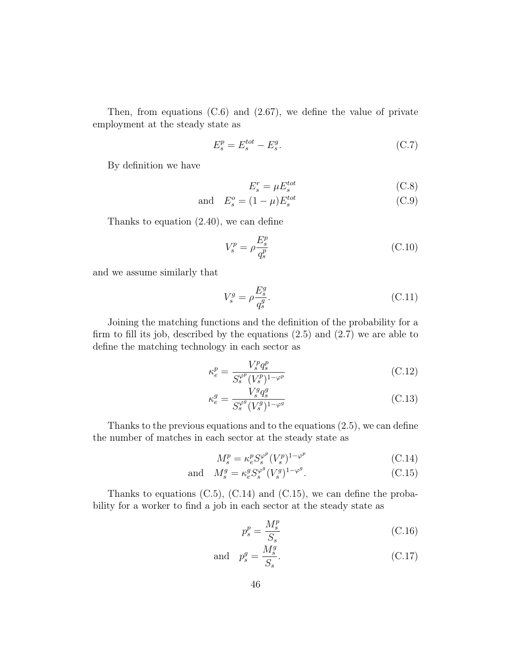Then, from equations (C.6) and (2.67), we define the value of private employment at the steady state as

$$
E_s^p = E_s^{tot} - E_s^g. \tag{C.7}
$$

By definition we have

$$
E_s^r = \mu E_s^{tot} \tag{C.8}
$$

and 
$$
E_s^o = (1 - \mu) E_s^{tot}
$$
 (C.9)

Thanks to equation (2.40), we can define

$$
V_s^p = \rho \frac{E_s^p}{q_s^p} \tag{C.10}
$$

and we assume similarly that

$$
V_s^g = \rho \frac{E_s^g}{q_s^g}.\tag{C.11}
$$

Joining the matching functions and the definition of the probability for a firm to fill its job, described by the equations (2.5) and (2.7) we are able to define the matching technology in each sector as

$$
\kappa_e^p = \frac{V_s^p q_s^p}{S_s^{\varphi^p}(V_s^p)^{1-\varphi^p}}
$$
\n(C.12)

$$
\kappa_e^g = \frac{V_s^g q_s^g}{S_s^{\varphi^g}(V_s^g)^{1-\varphi^g}}\tag{C.13}
$$

Thanks to the previous equations and to the equations (2.5), we can define the number of matches in each sector at the steady state as

$$
M_s^p = \kappa_e^p S_s^{\varphi^p} (V_s^p)^{1-\varphi^p}
$$
\n(C.14)

and 
$$
M_s^g = \kappa_e^g S_s^{\varphi^g} (V_s^g)^{1-\varphi^g}.
$$
 (C.15)

Thanks to equations  $(C.5)$ ,  $(C.14)$  and  $(C.15)$ , we can define the probability for a worker to find a job in each sector at the steady state as

$$
p_s^p = \frac{M_s^p}{S_s} \tag{C.16}
$$

and 
$$
p_s^g = \frac{M_s^g}{S_s}
$$
. (C.17)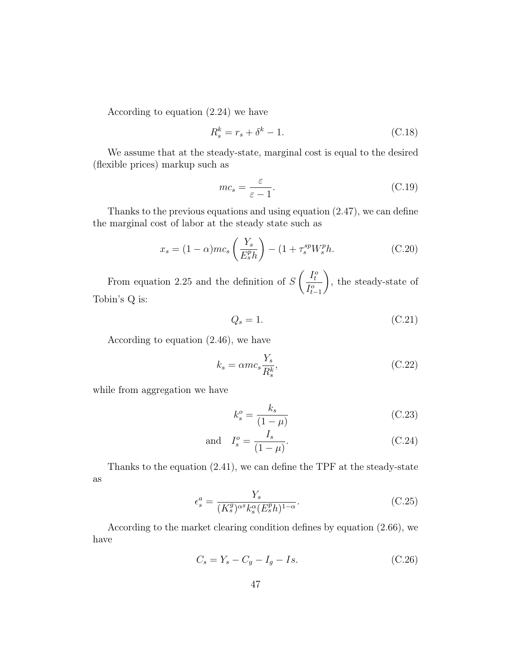According to equation (2.24) we have

$$
R_s^k = r_s + \delta^k - 1. \tag{C.18}
$$

We assume that at the steady-state, marginal cost is equal to the desired (flexible prices) markup such as

$$
mc_s = \frac{\varepsilon}{\varepsilon - 1}.
$$
\n(C.19)

Thanks to the previous equations and using equation (2.47), we can define the marginal cost of labor at the steady state such as

$$
x_s = (1 - \alpha)mc_s \left(\frac{Y_s}{E_s^p h}\right) - (1 + \tau_s^{sp} W_s^p h. \tag{C.20}
$$

From equation 2.25 and the definition of S  $\int I_t^o$  $I_{t-1}^o$  $\setminus$ , the steady-state of Tobin's Q is:

$$
Q_s = 1.\t\t(C.21)
$$

According to equation (2.46), we have

$$
k_s = \alpha m c_s \frac{Y_s}{R_s^k},\tag{C.22}
$$

while from aggregation we have

$$
k_s^o = \frac{k_s}{(1-\mu)}\tag{C.23}
$$

and 
$$
I_s^o = \frac{I_s}{(1-\mu)}.
$$
 (C.24)

Thanks to the equation (2.41), we can define the TPF at the steady-state as

$$
\epsilon_s^a = \frac{Y_s}{(K_s^g)^{\alpha^g} k_s^{\alpha} (E_s^p h)^{1-\alpha}}.
$$
\n(C.25)

According to the market clearing condition defines by equation (2.66), we have

$$
C_s = Y_s - C_g - I_g - Is.
$$
 (C.26)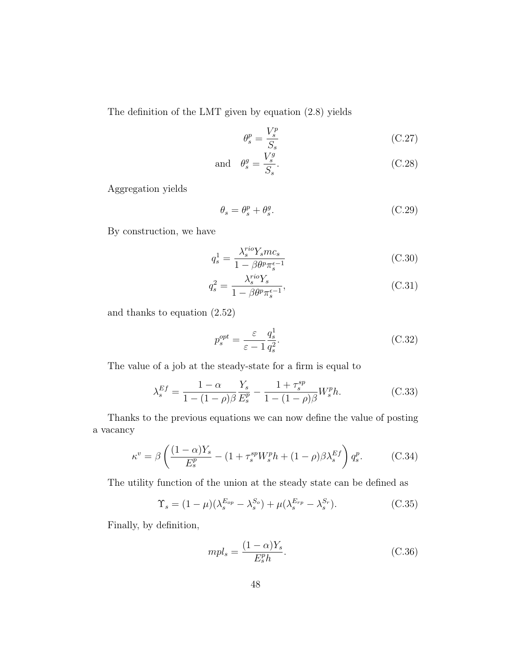The definition of the LMT given by equation (2.8) yields

$$
\theta_s^p = \frac{V_s^p}{S_s} \tag{C.27}
$$

and 
$$
\theta_s^g = \frac{V_s^g}{S_s}
$$
. (C.28)

Aggregation yields

$$
\theta_s = \theta_s^p + \theta_s^g. \tag{C.29}
$$

By construction, we have

$$
q_s^1 = \frac{\lambda_s^{rio} Y_s m c_s}{1 - \beta \theta^p \pi_s^{\epsilon - 1}}
$$
\n(C.30)

$$
q_s^2 = \frac{\lambda_s^{rio} Y_s}{1 - \beta \theta^p \pi_s^{\epsilon - 1}},\tag{C.31}
$$

and thanks to equation (2.52)

$$
p_s^{opt} = \frac{\varepsilon}{\varepsilon - 1} \frac{q_s^1}{q_s^2}.
$$
\n(C.32)

The value of a job at the steady-state for a firm is equal to

$$
\lambda_s^{Ef} = \frac{1 - \alpha}{1 - (1 - \rho)\beta} \frac{Y_s}{E_s^p} - \frac{1 + \tau_s^{sp}}{1 - (1 - \rho)\beta} W_s^p h. \tag{C.33}
$$

Thanks to the previous equations we can now define the value of posting a vacancy

$$
\kappa^v = \beta \left( \frac{(1-\alpha)Y_s}{E_s^p} - (1 + \tau_s^{sp} W_s^p h + (1-\rho)\beta \lambda_s^{Ef} \right) q_s^p. \tag{C.34}
$$

The utility function of the union at the steady state can be defined as

$$
\Upsilon_s = (1 - \mu)(\lambda_s^{E_{op}} - \lambda_s^{S_o}) + \mu(\lambda_s^{E_{rp}} - \lambda_s^{S_r}).
$$
\n(C.35)

Finally, by definition,

$$
mpl_s = \frac{(1 - \alpha)Y_s}{E_s^p h}.
$$
\n(C.36)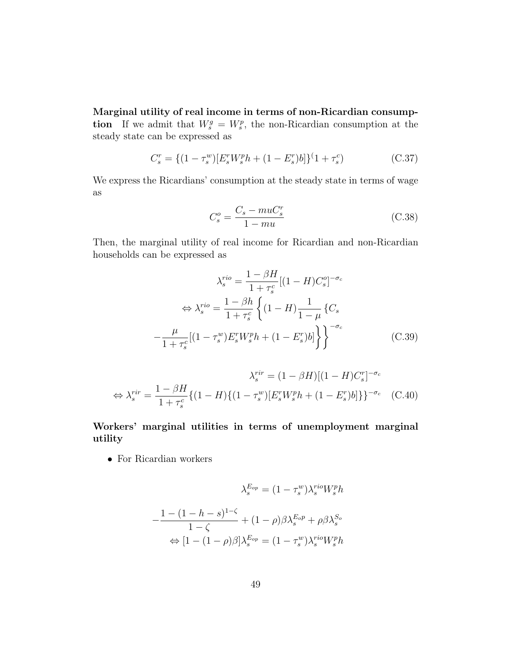Marginal utility of real income in terms of non-Ricardian consumption If we admit that  $W_s^g = W_s^p$ , the non-Ricardian consumption at the steady state can be expressed as

$$
C_s^r = \{ (1 - \tau_s^w) [E_s^r W_s^p h + (1 - E_s^r) b] \}^{\{1 + \tau_s^c\}} \tag{C.37}
$$

We express the Ricardians' consumption at the steady state in terms of wage as

$$
C_s^o = \frac{C_s - muC_s^r}{1 - mu}
$$
\n(C.38)

Then, the marginal utility of real income for Ricardian and non-Ricardian households can be expressed as

$$
\lambda_s^{rio} = \frac{1 - \beta H}{1 + \tau_s^c} [(1 - H)C_s^{o}]^{-\sigma_c}
$$

$$
\Leftrightarrow \lambda_s^{rio} = \frac{1 - \beta h}{1 + \tau_s^c} \left\{ (1 - H) \frac{1}{1 - \mu} \left\{ C_s \right\}
$$

$$
-\frac{\mu}{1 + \tau_s^c} [(1 - \tau_s^w) E_s^r W_s^p h + (1 - E_s^r) b] \right\}^{-\sigma_c}
$$
(C.39)

$$
\lambda_s^{rir} = (1 - \beta H)[(1 - H)C_s^r]^{-\sigma_c}
$$

$$
\Leftrightarrow \lambda_s^{rir} = \frac{1 - \beta H}{1 + \tau_s^c} \{ (1 - H)\{ (1 - \tau_s^w) [E_s^r W_s^p h + (1 - E_s^r) b] \} \}^{-\sigma_c} \quad \text{(C.40)}
$$

Workers' marginal utilities in terms of unemployment marginal utility

• For Ricardian workers

$$
\lambda_s^{E_{op}} = (1 - \tau_s^w) \lambda_s^{rio} W_s^p h
$$

$$
-\frac{1 - (1 - h - s)^{1 - \zeta}}{1 - \zeta} + (1 - \rho) \beta \lambda_s^{E_{o}p} + \rho \beta \lambda_s^{S_{o}}
$$

$$
\Leftrightarrow [1 - (1 - \rho) \beta] \lambda_s^{E_{op}} = (1 - \tau_s^w) \lambda_s^{rio} W_s^p h
$$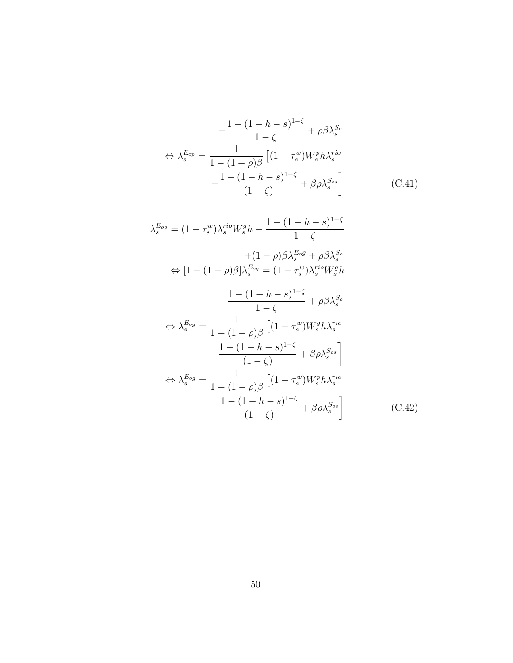$$
\frac{1 - (1 - h - s)^{1 - \zeta}}{1 - \zeta} + \rho \beta \lambda_s^{S_o}
$$

$$
\Leftrightarrow \lambda_s^{E_{op}} = \frac{1}{1 - (1 - \rho)\beta} \left[ (1 - \tau_s^w) W_s^p h \lambda_s^{rio} - \frac{1 - (1 - h - s)^{1 - \zeta}}{(1 - \zeta)} + \beta \rho \lambda_s^{S_{os}} \right]
$$
(C.41)

$$
\lambda_{s}^{E_{og}} = (1 - \tau_{s}^{w})\lambda_{s}^{rio}W_{s}^{g}h - \frac{1 - (1 - h - s)^{1 - \zeta}}{1 - \zeta} \n+ (1 - \rho)\beta\lambda_{s}^{E_{og}} + \rho\beta\lambda_{s}^{S_{o}} \n\Leftrightarrow [1 - (1 - \rho)\beta]\lambda_{s}^{E_{og}} = (1 - \tau_{s}^{w})\lambda_{s}^{rio}W_{s}^{g}h \n- \frac{1 - (1 - h - s)^{1 - \zeta}}{1 - \zeta} + \rho\beta\lambda_{s}^{S_{o}} \n\Leftrightarrow \lambda_{s}^{E_{og}} = \frac{1}{1 - (1 - \rho)\beta} \left[ (1 - \tau_{s}^{w})W_{s}^{g}h\lambda_{s}^{rio} - \frac{1 - (1 - h - s)^{1 - \zeta}}{(1 - \zeta)} + \beta\rho\lambda_{s}^{S_{os}} \right] \n\Leftrightarrow \lambda_{s}^{E_{og}} = \frac{1}{1 - (1 - \rho)\beta} \left[ (1 - \tau_{s}^{w})W_{s}^{p}h\lambda_{s}^{rio} - \frac{1 - (1 - h - s)^{1 - \zeta}}{(1 - \zeta)} + \beta\rho\lambda_{s}^{S_{os}} \right]
$$
(C.42)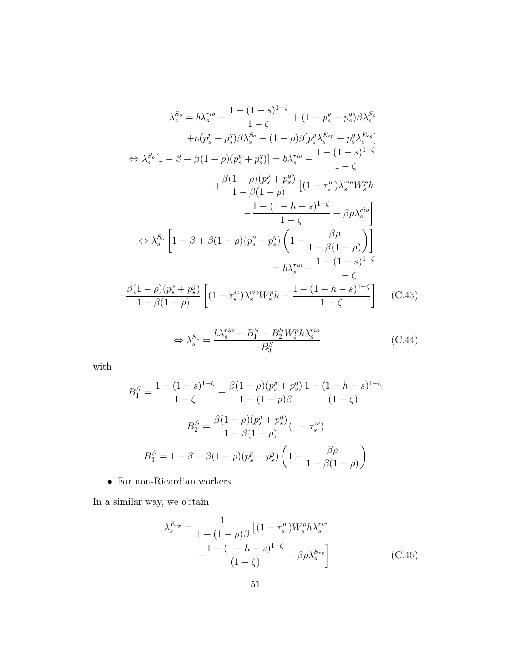$$
\lambda_{s}^{S_{o}} = b\lambda_{s}^{rio} - \frac{1 - (1 - s)^{1 - \zeta}}{1 - \zeta} + (1 - p_{s}^{p} - p_{s}^{q})\beta\lambda_{s}^{S_{o}}
$$

$$
+ \rho(p_{s}^{p} + p_{s}^{q})\beta\lambda_{s}^{S_{o}} + (1 - \rho)\beta[p_{s}^{p}\lambda_{s}^{E_{op}} + p_{s}^{q}\lambda_{s}^{E_{og}}]
$$

$$
\Leftrightarrow \lambda_{s}^{S_{o}}[1 - \beta + \beta(1 - \rho)(p_{s}^{p} + p_{s}^{q})] = b\lambda_{s}^{rio} - \frac{1 - (1 - s)^{1 - \zeta}}{1 - \zeta}
$$

$$
+ \frac{\beta(1 - \rho)(p_{s}^{p} + p_{s}^{q})}{1 - \beta(1 - \rho)}[(1 - \tau_{s}^{w})\lambda_{s}^{rio}W_{s}^{p}h - \frac{1 - (1 - h - s)^{1 - \zeta}}{1 - \zeta} + \beta\rho\lambda_{s}^{rio}]
$$

$$
\Leftrightarrow \lambda_{s}^{S_{o}}\left[1 - \beta + \beta(1 - \rho)(p_{s}^{p} + p_{s}^{q})\left(1 - \frac{\beta\rho}{1 - \beta(1 - \rho)}\right)\right]
$$

$$
= b\lambda_{s}^{rio} - \frac{1 - (1 - s)^{1 - \zeta}}{1 - \zeta}
$$

$$
+ \frac{\beta(1 - \rho)(p_{s}^{p} + p_{s}^{q})}{1 - \beta(1 - \rho)}\left[(1 - \tau_{s}^{w})\lambda_{s}^{rio}W_{s}^{p}h - \frac{1 - (1 - h - s)^{1 - \zeta}}{1 - \zeta}\right] \quad \text{(C.43)}
$$

$$
\Leftrightarrow \lambda_s^{S_o} = \frac{b\lambda_s^{rio} - B_1^S + B_2^S W_s^p h \lambda_s^{rio}}{B_3^S} \tag{C.44}
$$

with

$$
B_1^S = \frac{1 - (1 - s)^{1 - \zeta}}{1 - \zeta} + \frac{\beta (1 - \rho)(p_s^p + p_s^q)}{1 - (1 - \rho)\beta} \frac{1 - (1 - h - s)^{1 - \zeta}}{(1 - \zeta)}
$$

$$
B_2^S = \frac{\beta (1 - \rho)(p_s^p + p_s^q)}{1 - \beta (1 - \rho)} (1 - \tau_s^w)
$$

$$
B_3^S = 1 - \beta + \beta (1 - \rho)(p_s^p + p_s^q) \left(1 - \frac{\beta \rho}{1 - \beta (1 - \rho)}\right)
$$

 $\bullet\,$  For non-Ricardian workers

In a similar way, we obtain

$$
\lambda_s^{E_{rp}} = \frac{1}{1 - (1 - \rho)\beta} \left[ (1 - \tau_s^w) W_s^p h \lambda_s^{rir} - \frac{1 - (1 - h - s)^{1 - \zeta}}{(1 - \zeta)} + \beta \rho \lambda_s^{S_{rs}} \right]
$$
(C.45)